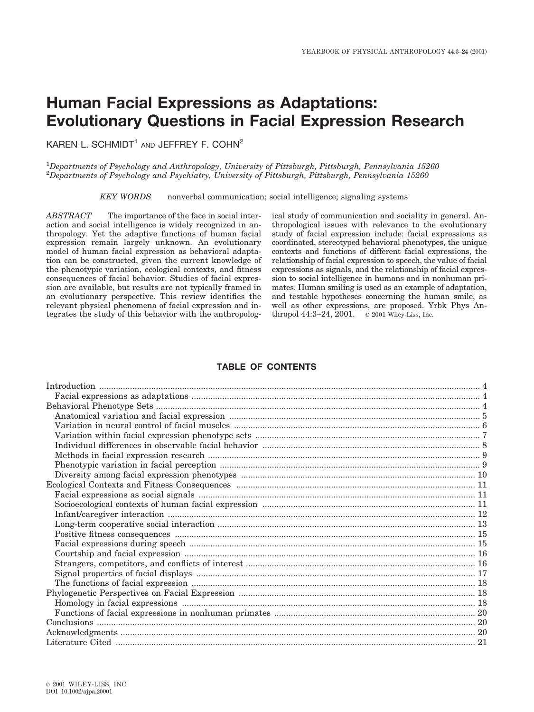# **Human Facial Expressions as Adaptations: Evolutionary Questions in Facial Expression Research**

KAREN L. SCHMIDT<sup>1</sup> AND JEFFREY F. COHN<sup>2</sup>

1 *Departments of Psychology and Anthropology, University of Pittsburgh, Pittsburgh, Pennsylvania 15260* 2 *Departments of Psychology and Psychiatry, University of Pittsburgh, Pittsburgh, Pennsylvania 15260*

*KEY WORDS* nonverbal communication; social intelligence; signaling systems

*ABSTRACT* The importance of the face in social interaction and social intelligence is widely recognized in anthropology. Yet the adaptive functions of human facial expression remain largely unknown. An evolutionary model of human facial expression as behavioral adaptation can be constructed, given the current knowledge of the phenotypic variation, ecological contexts, and fitness consequences of facial behavior. Studies of facial expression are available, but results are not typically framed in an evolutionary perspective. This review identifies the relevant physical phenomena of facial expression and integrates the study of this behavior with the anthropological study of communication and sociality in general. Anthropological issues with relevance to the evolutionary study of facial expression include: facial expressions as coordinated, stereotyped behavioral phenotypes, the unique contexts and functions of different facial expressions, the relationship of facial expression to speech, the value of facial expressions as signals, and the relationship of facial expression to social intelligence in humans and in nonhuman primates. Human smiling is used as an example of adaptation, and testable hypotheses concerning the human smile, as well as other expressions, are proposed. Yrbk Phys Anthropol 44:3–24, 2001. © 2001 Wiley-Liss, Inc.

# **TABLE OF CONTENTS**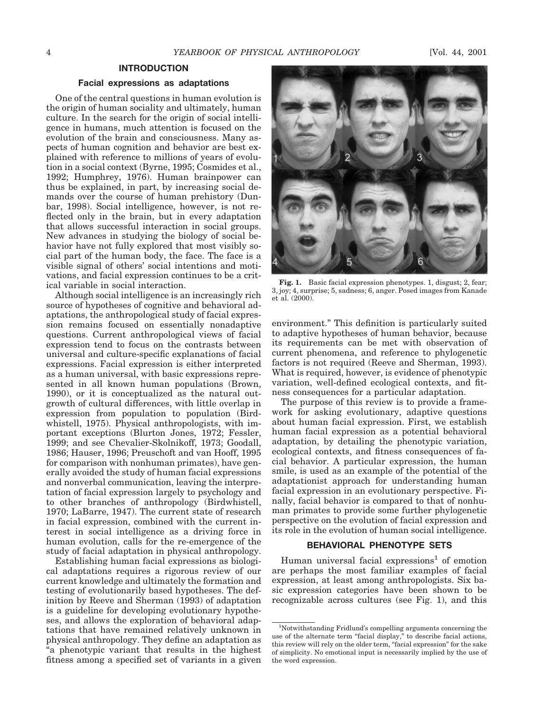#### **INTRODUCTION**

#### **Facial expressions as adaptations**

One of the central questions in human evolution is the origin of human sociality and ultimately, human culture. In the search for the origin of social intelligence in humans, much attention is focused on the evolution of the brain and consciousness. Many aspects of human cognition and behavior are best explained with reference to millions of years of evolution in a social context (Byrne, 1995; Cosmides et al., 1992; Humphrey, 1976). Human brainpower can thus be explained, in part, by increasing social demands over the course of human prehistory (Dunbar, 1998). Social intelligence, however, is not reflected only in the brain, but in every adaptation that allows successful interaction in social groups. New advances in studying the biology of social behavior have not fully explored that most visibly social part of the human body, the face. The face is a visible signal of others' social intentions and motivations, and facial expression continues to be a critical variable in social interaction.

Although social intelligence is an increasingly rich source of hypotheses of cognitive and behavioral adaptations, the anthropological study of facial expression remains focused on essentially nonadaptive questions. Current anthropological views of facial expression tend to focus on the contrasts between universal and culture-specific explanations of facial expressions. Facial expression is either interpreted as a human universal, with basic expressions represented in all known human populations (Brown, 1990), or it is conceptualized as the natural outgrowth of cultural differences, with little overlap in expression from population to population (Birdwhistell, 1975). Physical anthropologists, with important exceptions (Blurton Jones, 1972; Fessler, 1999; and see Chevalier-Skolnikoff, 1973; Goodall, 1986; Hauser, 1996; Preuschoft and van Hooff, 1995 for comparison with nonhuman primates), have generally avoided the study of human facial expressions and nonverbal communication, leaving the interpretation of facial expression largely to psychology and to other branches of anthropology (Birdwhistell, 1970; LaBarre, 1947). The current state of research in facial expression, combined with the current interest in social intelligence as a driving force in human evolution, calls for the re-emergence of the study of facial adaptation in physical anthropology.

Establishing human facial expressions as biological adaptations requires a rigorous review of our current knowledge and ultimately the formation and testing of evolutionarily based hypotheses. The definition by Reeve and Sherman (1993) of adaptation is a guideline for developing evolutionary hypotheses, and allows the exploration of behavioral adaptations that have remained relatively unknown in physical anthropology. They define an adaptation as "a phenotypic variant that results in the highest fitness among a specified set of variants in a given



**Fig. 1.** Basic facial expression phenotypes. 1, disgust; 2, fear; 3, joy; 4, surprise; 5, sadness; 6, anger. Posed images from Kanade et al. (2000).

environment." This definition is particularly suited to adaptive hypotheses of human behavior, because its requirements can be met with observation of current phenomena, and reference to phylogenetic factors is not required (Reeve and Sherman, 1993). What is required, however, is evidence of phenotypic variation, well-defined ecological contexts, and fitness consequences for a particular adaptation.

The purpose of this review is to provide a framework for asking evolutionary, adaptive questions about human facial expression. First, we establish human facial expression as a potential behavioral adaptation, by detailing the phenotypic variation, ecological contexts, and fitness consequences of facial behavior. A particular expression, the human smile, is used as an example of the potential of the adaptationist approach for understanding human facial expression in an evolutionary perspective. Finally, facial behavior is compared to that of nonhuman primates to provide some further phylogenetic perspective on the evolution of facial expression and its role in the evolution of human social intelligence.

# **BEHAVIORAL PHENOTYPE SETS**

Human universal facial expressions<sup>1</sup> of emotion are perhaps the most familiar examples of facial expression, at least among anthropologists. Six basic expression categories have been shown to be recognizable across cultures (see Fig. 1), and this

<sup>&</sup>lt;sup>1</sup>Notwithstanding Fridlund's compelling arguments concerning the use of the alternate term "facial display," to describe facial actions, this review will rely on the older term, "facial expression" for the sake of simplicity. No emotional input is necessarily implied by the use of the word expression.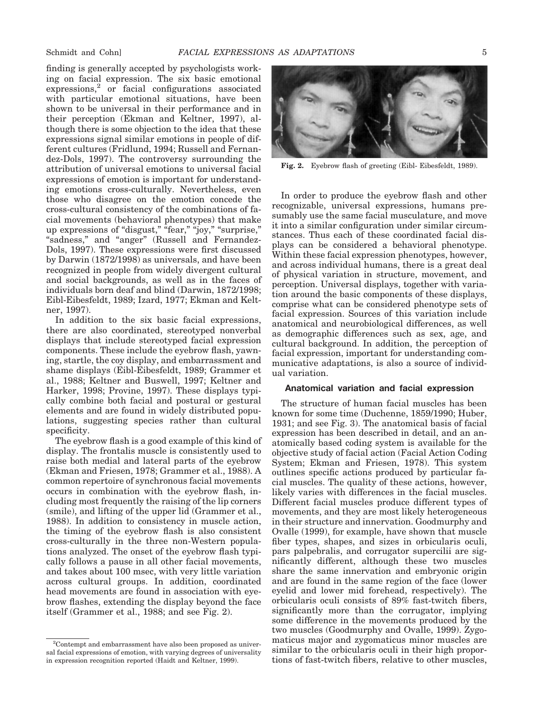finding is generally accepted by psychologists working on facial expression. The six basic emotional expressions,<sup>2</sup> or facial configurations associated with particular emotional situations, have been shown to be universal in their performance and in their perception (Ekman and Keltner, 1997), although there is some objection to the idea that these expressions signal similar emotions in people of different cultures (Fridlund, 1994; Russell and Fernandez-Dols, 1997). The controversy surrounding the attribution of universal emotions to universal facial expressions of emotion is important for understanding emotions cross-culturally. Nevertheless, even those who disagree on the emotion concede the cross-cultural consistency of the combinations of facial movements (behavioral phenotypes) that make up expressions of "disgust," "fear," "joy," "surprise," "sadness," and "anger" (Russell and Fernandez-Dols, 1997). These expressions were first discussed by Darwin (1872/1998) as universals, and have been recognized in people from widely divergent cultural and social backgrounds, as well as in the faces of individuals born deaf and blind (Darwin, 1872/1998; Eibl-Eibesfeldt, 1989; Izard, 1977; Ekman and Keltner, 1997).

In addition to the six basic facial expressions, there are also coordinated, stereotyped nonverbal displays that include stereotyped facial expression components. These include the eyebrow flash, yawning, startle, the coy display, and embarrassment and shame displays (Eibl-Eibesfeldt, 1989; Grammer et al., 1988; Keltner and Buswell, 1997; Keltner and Harker, 1998; Provine, 1997). These displays typically combine both facial and postural or gestural elements and are found in widely distributed populations, suggesting species rather than cultural specificity.

The eyebrow flash is a good example of this kind of display. The frontalis muscle is consistently used to raise both medial and lateral parts of the eyebrow (Ekman and Friesen, 1978; Grammer et al., 1988). A common repertoire of synchronous facial movements occurs in combination with the eyebrow flash, including most frequently the raising of the lip corners (smile), and lifting of the upper lid (Grammer et al., 1988). In addition to consistency in muscle action, the timing of the eyebrow flash is also consistent cross-culturally in the three non-Western populations analyzed. The onset of the eyebrow flash typically follows a pause in all other facial movements, and takes about 100 msec, with very little variation across cultural groups. In addition, coordinated head movements are found in association with eyebrow flashes, extending the display beyond the face itself (Grammer et al., 1988; and see Fig. 2).



**Fig. 2.** Eyebrow flash of greeting (Eibl- Eibesfeldt, 1989).

In order to produce the eyebrow flash and other recognizable, universal expressions, humans presumably use the same facial musculature, and move it into a similar configuration under similar circumstances. Thus each of these coordinated facial displays can be considered a behavioral phenotype. Within these facial expression phenotypes, however, and across individual humans, there is a great deal of physical variation in structure, movement, and perception. Universal displays, together with variation around the basic components of these displays, comprise what can be considered phenotype sets of facial expression. Sources of this variation include anatomical and neurobiological differences, as well as demographic differences such as sex, age, and cultural background. In addition, the perception of facial expression, important for understanding communicative adaptations, is also a source of individual variation.

#### **Anatomical variation and facial expression**

The structure of human facial muscles has been known for some time (Duchenne, 1859/1990; Huber, 1931; and see Fig. 3). The anatomical basis of facial expression has been described in detail, and an anatomically based coding system is available for the objective study of facial action (Facial Action Coding System; Ekman and Friesen, 1978). This system outlines specific actions produced by particular facial muscles. The quality of these actions, however, likely varies with differences in the facial muscles. Different facial muscles produce different types of movements, and they are most likely heterogeneous in their structure and innervation. Goodmurphy and Ovalle (1999), for example, have shown that muscle fiber types, shapes, and sizes in orbicularis oculi, pars palpebralis, and corrugator supercilii are significantly different, although these two muscles share the same innervation and embryonic origin and are found in the same region of the face (lower eyelid and lower mid forehead, respectively). The orbicularis oculi consists of 89% fast-twitch fibers, significantly more than the corrugator, implying some difference in the movements produced by the two muscles (Goodmurphy and Ovalle, 1999). Zygomaticus major and zygomaticus minor muscles are similar to the orbicularis oculi in their high proportions of fast-twitch fibers, relative to other muscles,

<sup>2</sup> Contempt and embarrassment have also been proposed as universal facial expressions of emotion, with varying degrees of universality in expression recognition reported (Haidt and Keltner, 1999).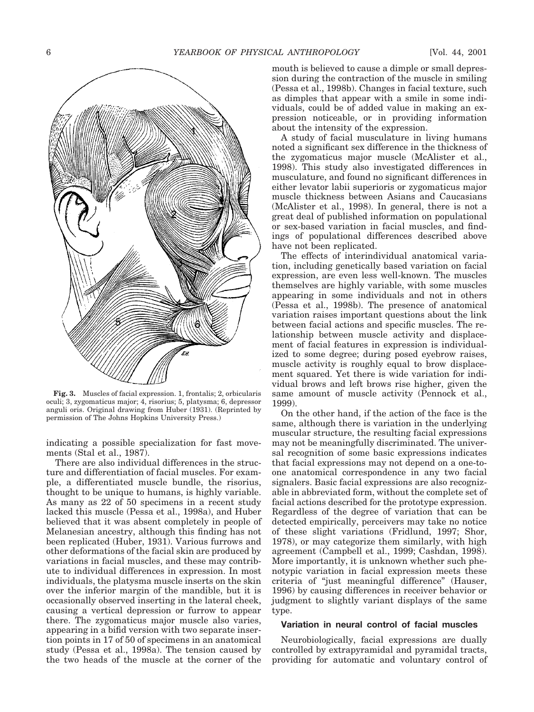

**Fig. 3.** Muscles of facial expression. 1, frontalis; 2, orbicularis oculi; 3, zygomaticus major; 4, risorius; 5, platysma; 6, depressor anguli oris. Original drawing from Huber (1931). (Reprinted by permission of The Johns Hopkins University Press.)

indicating a possible specialization for fast movements (Stal et al., 1987).

There are also individual differences in the structure and differentiation of facial muscles. For example, a differentiated muscle bundle, the risorius, thought to be unique to humans, is highly variable. As many as 22 of 50 specimens in a recent study lacked this muscle (Pessa et al., 1998a), and Huber believed that it was absent completely in people of Melanesian ancestry, although this finding has not been replicated (Huber, 1931). Various furrows and other deformations of the facial skin are produced by variations in facial muscles, and these may contribute to individual differences in expression. In most individuals, the platysma muscle inserts on the skin over the inferior margin of the mandible, but it is occasionally observed inserting in the lateral cheek, causing a vertical depression or furrow to appear there. The zygomaticus major muscle also varies, appearing in a bifid version with two separate insertion points in 17 of 50 of specimens in an anatomical study (Pessa et al., 1998a). The tension caused by the two heads of the muscle at the corner of the

mouth is believed to cause a dimple or small depression during the contraction of the muscle in smiling (Pessa et al., 1998b). Changes in facial texture, such as dimples that appear with a smile in some individuals, could be of added value in making an expression noticeable, or in providing information about the intensity of the expression.

A study of facial musculature in living humans noted a significant sex difference in the thickness of the zygomaticus major muscle (McAlister et al., 1998). This study also investigated differences in musculature, and found no significant differences in either levator labii superioris or zygomaticus major muscle thickness between Asians and Caucasians (McAlister et al., 1998). In general, there is not a great deal of published information on populational or sex-based variation in facial muscles, and findings of populational differences described above have not been replicated.

The effects of interindividual anatomical variation, including genetically based variation on facial expression, are even less well-known. The muscles themselves are highly variable, with some muscles appearing in some individuals and not in others (Pessa et al., 1998b). The presence of anatomical variation raises important questions about the link between facial actions and specific muscles. The relationship between muscle activity and displacement of facial features in expression is individualized to some degree; during posed eyebrow raises, muscle activity is roughly equal to brow displacement squared. Yet there is wide variation for individual brows and left brows rise higher, given the same amount of muscle activity (Pennock et al., 1999).

On the other hand, if the action of the face is the same, although there is variation in the underlying muscular structure, the resulting facial expressions may not be meaningfully discriminated. The universal recognition of some basic expressions indicates that facial expressions may not depend on a one-toone anatomical correspondence in any two facial signalers. Basic facial expressions are also recognizable in abbreviated form, without the complete set of facial actions described for the prototype expression. Regardless of the degree of variation that can be detected empirically, perceivers may take no notice of these slight variations (Fridlund, 1997; Shor, 1978), or may categorize them similarly, with high agreement (Campbell et al., 1999; Cashdan, 1998). More importantly, it is unknown whether such phenotypic variation in facial expression meets these criteria of "just meaningful difference" (Hauser, 1996) by causing differences in receiver behavior or judgment to slightly variant displays of the same type.

## **Variation in neural control of facial muscles**

Neurobiologically, facial expressions are dually controlled by extrapyramidal and pyramidal tracts, providing for automatic and voluntary control of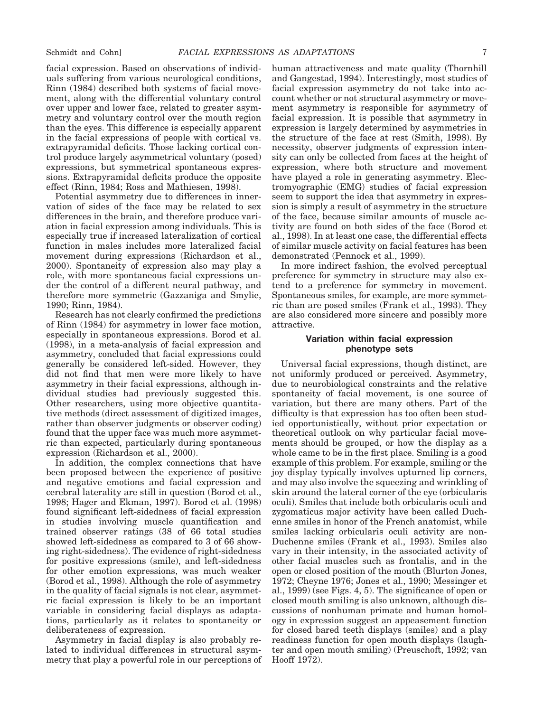facial expression. Based on observations of individuals suffering from various neurological conditions, Rinn (1984) described both systems of facial movement, along with the differential voluntary control over upper and lower face, related to greater asymmetry and voluntary control over the mouth region than the eyes. This difference is especially apparent in the facial expressions of people with cortical vs. extrapyramidal deficits. Those lacking cortical control produce largely asymmetrical voluntary (posed) expressions, but symmetrical spontaneous expressions. Extrapyramidal deficits produce the opposite effect (Rinn, 1984; Ross and Mathiesen, 1998).

Potential asymmetry due to differences in innervation of sides of the face may be related to sex differences in the brain, and therefore produce variation in facial expression among individuals. This is especially true if increased lateralization of cortical function in males includes more lateralized facial movement during expressions (Richardson et al., 2000). Spontaneity of expression also may play a role, with more spontaneous facial expressions under the control of a different neural pathway, and therefore more symmetric (Gazzaniga and Smylie, 1990; Rinn, 1984).

Research has not clearly confirmed the predictions of Rinn (1984) for asymmetry in lower face motion, especially in spontaneous expressions. Borod et al. (1998), in a meta-analysis of facial expression and asymmetry, concluded that facial expressions could generally be considered left-sided. However, they did not find that men were more likely to have asymmetry in their facial expressions, although individual studies had previously suggested this. Other researchers, using more objective quantitative methods (direct assessment of digitized images, rather than observer judgments or observer coding) found that the upper face was much more asymmetric than expected, particularly during spontaneous expression (Richardson et al., 2000).

In addition, the complex connections that have been proposed between the experience of positive and negative emotions and facial expression and cerebral laterality are still in question (Borod et al., 1998; Hager and Ekman, 1997). Borod et al. (1998) found significant left-sidedness of facial expression in studies involving muscle quantification and trained observer ratings (38 of 66 total studies showed left-sidedness as compared to 3 of 66 showing right-sidedness). The evidence of right-sidedness for positive expressions (smile), and left-sidedness for other emotion expressions, was much weaker (Borod et al., 1998). Although the role of asymmetry in the quality of facial signals is not clear, asymmetric facial expression is likely to be an important variable in considering facial displays as adaptations, particularly as it relates to spontaneity or deliberateness of expression.

Asymmetry in facial display is also probably related to individual differences in structural asymmetry that play a powerful role in our perceptions of human attractiveness and mate quality (Thornhill and Gangestad, 1994). Interestingly, most studies of facial expression asymmetry do not take into account whether or not structural asymmetry or movement asymmetry is responsible for asymmetry of facial expression. It is possible that asymmetry in expression is largely determined by asymmetries in the structure of the face at rest (Smith, 1998). By necessity, observer judgments of expression intensity can only be collected from faces at the height of expression, where both structure and movement have played a role in generating asymmetry. Electromyographic (EMG) studies of facial expression seem to support the idea that asymmetry in expression is simply a result of asymmetry in the structure of the face, because similar amounts of muscle activity are found on both sides of the face (Borod et al., 1998). In at least one case, the differential effects of similar muscle activity on facial features has been demonstrated (Pennock et al., 1999).

In more indirect fashion, the evolved perceptual preference for symmetry in structure may also extend to a preference for symmetry in movement. Spontaneous smiles, for example, are more symmetric than are posed smiles (Frank et al., 1993). They are also considered more sincere and possibly more attractive.

## **Variation within facial expression phenotype sets**

Universal facial expressions, though distinct, are not uniformly produced or perceived. Asymmetry, due to neurobiological constraints and the relative spontaneity of facial movement, is one source of variation, but there are many others. Part of the difficulty is that expression has too often been studied opportunistically, without prior expectation or theoretical outlook on why particular facial movements should be grouped, or how the display as a whole came to be in the first place. Smiling is a good example of this problem. For example, smiling or the joy display typically involves upturned lip corners, and may also involve the squeezing and wrinkling of skin around the lateral corner of the eye (orbicularis oculi). Smiles that include both orbicularis oculi and zygomaticus major activity have been called Duchenne smiles in honor of the French anatomist, while smiles lacking orbicularis oculi activity are non-Duchenne smiles (Frank et al., 1993). Smiles also vary in their intensity, in the associated activity of other facial muscles such as frontalis, and in the open or closed position of the mouth (Blurton Jones, 1972; Cheyne 1976; Jones et al., 1990; Messinger et al., 1999) (see Figs. 4, 5). The significance of open or closed mouth smiling is also unknown, although discussions of nonhuman primate and human homology in expression suggest an appeasement function for closed bared teeth displays (smiles) and a play readiness function for open mouth displays (laughter and open mouth smiling) (Preuschoft, 1992; van Hooff 1972).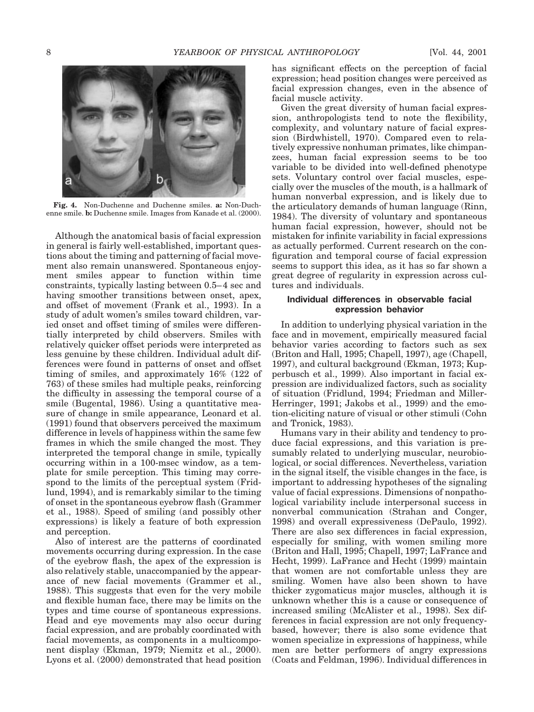

**Fig. 4.** Non-Duchenne and Duchenne smiles. **a:** Non-Duchenne smile. **b:** Duchenne smile. Images from Kanade et al. (2000).

Although the anatomical basis of facial expression in general is fairly well-established, important questions about the timing and patterning of facial movement also remain unanswered. Spontaneous enjoyment smiles appear to function within time constraints, typically lasting between 0.5–4 sec and having smoother transitions between onset, apex, and offset of movement (Frank et al., 1993). In a study of adult women's smiles toward children, varied onset and offset timing of smiles were differentially interpreted by child observers. Smiles with relatively quicker offset periods were interpreted as less genuine by these children. Individual adult differences were found in patterns of onset and offset timing of smiles, and approximately 16% (122 of 763) of these smiles had multiple peaks, reinforcing the difficulty in assessing the temporal course of a smile (Bugental, 1986). Using a quantitative measure of change in smile appearance, Leonard et al. (1991) found that observers perceived the maximum difference in levels of happiness within the same few frames in which the smile changed the most. They interpreted the temporal change in smile, typically occurring within in a 100-msec window, as a template for smile perception. This timing may correspond to the limits of the perceptual system (Fridlund, 1994), and is remarkably similar to the timing of onset in the spontaneous eyebrow flash (Grammer et al., 1988). Speed of smiling (and possibly other expressions) is likely a feature of both expression and perception.

Also of interest are the patterns of coordinated movements occurring during expression. In the case of the eyebrow flash, the apex of the expression is also relatively stable, unaccompanied by the appearance of new facial movements (Grammer et al., 1988). This suggests that even for the very mobile and flexible human face, there may be limits on the types and time course of spontaneous expressions. Head and eye movements may also occur during facial expression, and are probably coordinated with facial movements, as components in a multicomponent display (Ekman, 1979; Niemitz et al., 2000). Lyons et al. (2000) demonstrated that head position

has significant effects on the perception of facial expression; head position changes were perceived as facial expression changes, even in the absence of facial muscle activity.

Given the great diversity of human facial expression, anthropologists tend to note the flexibility, complexity, and voluntary nature of facial expression (Birdwhistell, 1970). Compared even to relatively expressive nonhuman primates, like chimpanzees, human facial expression seems to be too variable to be divided into well-defined phenotype sets. Voluntary control over facial muscles, especially over the muscles of the mouth, is a hallmark of human nonverbal expression, and is likely due to the articulatory demands of human language (Rinn, 1984). The diversity of voluntary and spontaneous human facial expression, however, should not be mistaken for infinite variability in facial expressions as actually performed. Current research on the configuration and temporal course of facial expression seems to support this idea, as it has so far shown a great degree of regularity in expression across cultures and individuals.

## **Individual differences in observable facial expression behavior**

In addition to underlying physical variation in the face and in movement, empirically measured facial behavior varies according to factors such as sex (Briton and Hall, 1995; Chapell, 1997), age (Chapell, 1997), and cultural background (Ekman, 1973; Kupperbusch et al., 1999). Also important in facial expression are individualized factors, such as sociality of situation (Fridlund, 1994; Friedman and Miller-Herringer, 1991; Jakobs et al., 1999) and the emotion-eliciting nature of visual or other stimuli (Cohn and Tronick, 1983).

Humans vary in their ability and tendency to produce facial expressions, and this variation is presumably related to underlying muscular, neurobiological, or social differences. Nevertheless, variation in the signal itself, the visible changes in the face, is important to addressing hypotheses of the signaling value of facial expressions. Dimensions of nonpathological variability include interpersonal success in nonverbal communication (Strahan and Conger, 1998) and overall expressiveness (DePaulo, 1992). There are also sex differences in facial expression, especially for smiling, with women smiling more (Briton and Hall, 1995; Chapell, 1997; LaFrance and Hecht, 1999). LaFrance and Hecht (1999) maintain that women are not comfortable unless they are smiling. Women have also been shown to have thicker zygomaticus major muscles, although it is unknown whether this is a cause or consequence of increased smiling (McAlister et al., 1998). Sex differences in facial expression are not only frequencybased, however; there is also some evidence that women specialize in expressions of happiness, while men are better performers of angry expressions (Coats and Feldman, 1996). Individual differences in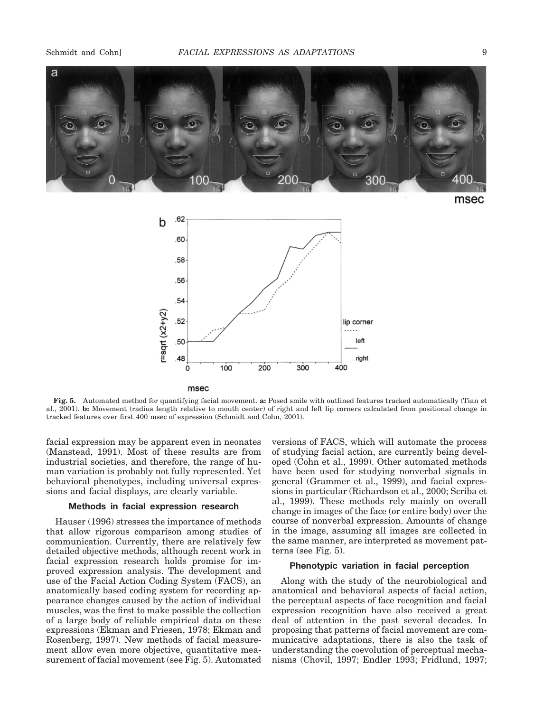





msec

**Fig. 5.** Automated method for quantifying facial movement. **a:** Posed smile with outlined features tracked automatically (Tian et al., 2001). **b:** Movement (radius length relative to mouth center) of right and left lip corners calculated from positional change in tracked features over first 400 msec of expression (Schmidt and Cohn, 2001).

facial expression may be apparent even in neonates (Manstead, 1991). Most of these results are from industrial societies, and therefore, the range of human variation is probably not fully represented. Yet behavioral phenotypes, including universal expressions and facial displays, are clearly variable.

#### **Methods in facial expression research**

Hauser (1996) stresses the importance of methods that allow rigorous comparison among studies of communication. Currently, there are relatively few detailed objective methods, although recent work in facial expression research holds promise for improved expression analysis. The development and use of the Facial Action Coding System (FACS), an anatomically based coding system for recording appearance changes caused by the action of individual muscles, was the first to make possible the collection of a large body of reliable empirical data on these expressions (Ekman and Friesen, 1978; Ekman and Rosenberg, 1997). New methods of facial measurement allow even more objective, quantitative measurement of facial movement (see Fig. 5). Automated versions of FACS, which will automate the process of studying facial action, are currently being developed (Cohn et al., 1999). Other automated methods have been used for studying nonverbal signals in general (Grammer et al., 1999), and facial expressions in particular (Richardson et al., 2000; Scriba et al., 1999). These methods rely mainly on overall change in images of the face (or entire body) over the course of nonverbal expression. Amounts of change in the image, assuming all images are collected in the same manner, are interpreted as movement patterns (see Fig. 5).

#### **Phenotypic variation in facial perception**

Along with the study of the neurobiological and anatomical and behavioral aspects of facial action, the perceptual aspects of face recognition and facial expression recognition have also received a great deal of attention in the past several decades. In proposing that patterns of facial movement are communicative adaptations, there is also the task of understanding the coevolution of perceptual mechanisms (Chovil, 1997; Endler 1993; Fridlund, 1997;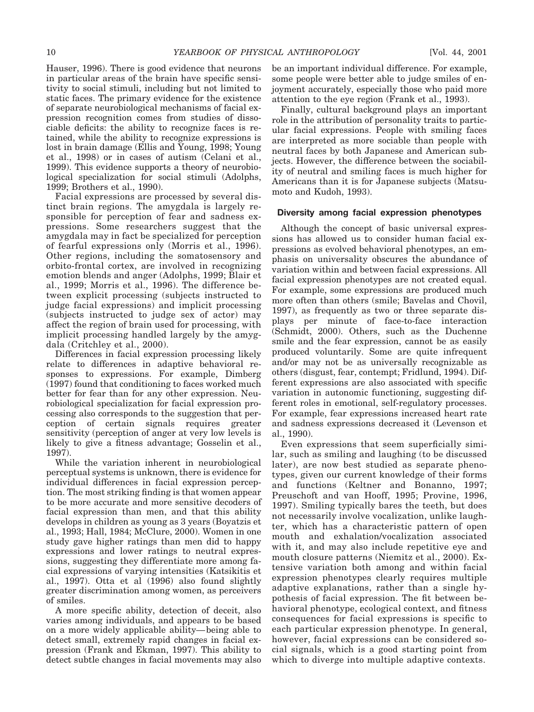Hauser, 1996). There is good evidence that neurons in particular areas of the brain have specific sensitivity to social stimuli, including but not limited to static faces. The primary evidence for the existence of separate neurobiological mechanisms of facial expression recognition comes from studies of dissociable deficits: the ability to recognize faces is retained, while the ability to recognize expressions is lost in brain damage (Ellis and Young, 1998; Young et al., 1998) or in cases of autism (Celani et al., 1999). This evidence supports a theory of neurobiological specialization for social stimuli (Adolphs, 1999; Brothers et al., 1990).

Facial expressions are processed by several distinct brain regions. The amygdala is largely responsible for perception of fear and sadness expressions. Some researchers suggest that the amygdala may in fact be specialized for perception of fearful expressions only (Morris et al., 1996). Other regions, including the somatosensory and orbito-frontal cortex, are involved in recognizing emotion blends and anger (Adolphs, 1999; Blair et al., 1999; Morris et al., 1996). The difference between explicit processing (subjects instructed to judge facial expressions) and implicit processing (subjects instructed to judge sex of actor) may affect the region of brain used for processing, with implicit processing handled largely by the amygdala (Critchley et al., 2000).

Differences in facial expression processing likely relate to differences in adaptive behavioral responses to expressions. For example, Dimberg (1997) found that conditioning to faces worked much better for fear than for any other expression. Neurobiological specialization for facial expression processing also corresponds to the suggestion that perception of certain signals requires greater sensitivity (perception of anger at very low levels is likely to give a fitness advantage; Gosselin et al., 1997).

While the variation inherent in neurobiological perceptual systems is unknown, there is evidence for individual differences in facial expression perception. The most striking finding is that women appear to be more accurate and more sensitive decoders of facial expression than men, and that this ability develops in children as young as 3 years (Boyatzis et al., 1993; Hall, 1984; McClure, 2000). Women in one study gave higher ratings than men did to happy expressions and lower ratings to neutral expressions, suggesting they differentiate more among facial expressions of varying intensities (Katsikitis et al., 1997). Otta et al (1996) also found slightly greater discrimination among women, as perceivers of smiles.

A more specific ability, detection of deceit, also varies among individuals, and appears to be based on a more widely applicable ability—being able to detect small, extremely rapid changes in facial expression (Frank and Ekman, 1997). This ability to detect subtle changes in facial movements may also

be an important individual difference. For example, some people were better able to judge smiles of enjoyment accurately, especially those who paid more attention to the eye region (Frank et al., 1993).

Finally, cultural background plays an important role in the attribution of personality traits to particular facial expressions. People with smiling faces are interpreted as more sociable than people with neutral faces by both Japanese and American subjects. However, the difference between the sociability of neutral and smiling faces is much higher for Americans than it is for Japanese subjects (Matsumoto and Kudoh, 1993).

### **Diversity among facial expression phenotypes**

Although the concept of basic universal expressions has allowed us to consider human facial expressions as evolved behavioral phenotypes, an emphasis on universality obscures the abundance of variation within and between facial expressions. All facial expression phenotypes are not created equal. For example, some expressions are produced much more often than others (smile; Bavelas and Chovil, 1997), as frequently as two or three separate displays per minute of face-to-face interaction (Schmidt, 2000). Others, such as the Duchenne smile and the fear expression, cannot be as easily produced voluntarily. Some are quite infrequent and/or may not be as universally recognizable as others (disgust, fear, contempt; Fridlund, 1994). Different expressions are also associated with specific variation in autonomic functioning, suggesting different roles in emotional, self-regulatory processes. For example, fear expressions increased heart rate and sadness expressions decreased it (Levenson et al., 1990).

Even expressions that seem superficially similar, such as smiling and laughing (to be discussed later), are now best studied as separate phenotypes, given our current knowledge of their forms and functions (Keltner and Bonanno, 1997; Preuschoft and van Hooff, 1995; Provine, 1996, 1997). Smiling typically bares the teeth, but does not necessarily involve vocalization, unlike laughter, which has a characteristic pattern of open mouth and exhalation/vocalization associated with it, and may also include repetitive eye and mouth closure patterns (Niemitz et al., 2000). Extensive variation both among and within facial expression phenotypes clearly requires multiple adaptive explanations, rather than a single hypothesis of facial expression. The fit between behavioral phenotype, ecological context, and fitness consequences for facial expressions is specific to each particular expression phenotype. In general, however, facial expressions can be considered social signals, which is a good starting point from which to diverge into multiple adaptive contexts.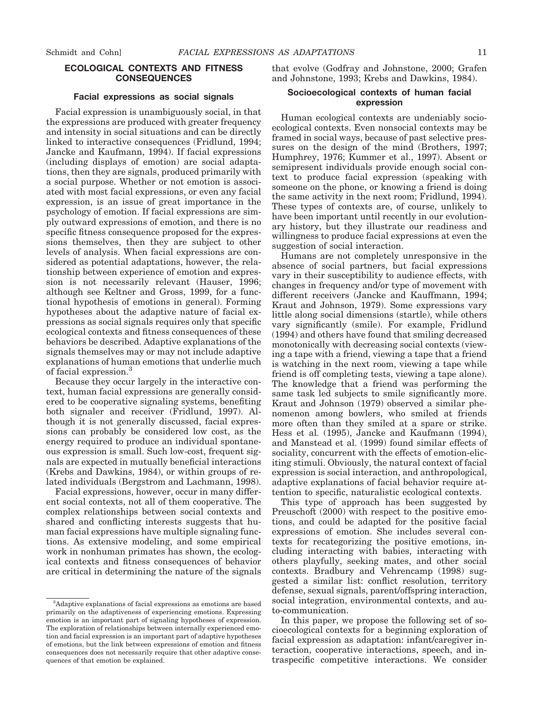## **ECOLOGICAL CONTEXTS AND FITNESS CONSEQUENCES**

#### **Facial expressions as social signals**

Facial expression is unambiguously social, in that the expressions are produced with greater frequency and intensity in social situations and can be directly linked to interactive consequences (Fridlund, 1994; Jancke and Kaufmann, 1994). If facial expressions (including displays of emotion) are social adaptations, then they are signals, produced primarily with a social purpose. Whether or not emotion is associated with most facial expressions, or even any facial expression, is an issue of great importance in the psychology of emotion. If facial expressions are simply outward expressions of emotion, and there is no specific fitness consequence proposed for the expressions themselves, then they are subject to other levels of analysis. When facial expressions are considered as potential adaptations, however, the relationship between experience of emotion and expression is not necessarily relevant (Hauser, 1996; although see Keltner and Gross, 1999, for a functional hypothesis of emotions in general). Forming hypotheses about the adaptive nature of facial expressions as social signals requires only that specific ecological contexts and fitness consequences of these behaviors be described. Adaptive explanations of the signals themselves may or may not include adaptive explanations of human emotions that underlie much of facial expression.<sup>3</sup>

Because they occur largely in the interactive context, human facial expressions are generally considered to be cooperative signaling systems, benefiting both signaler and receiver (Fridlund, 1997). Although it is not generally discussed, facial expressions can probably be considered low cost, as the energy required to produce an individual spontaneous expression is small. Such low-cost, frequent signals are expected in mutually beneficial interactions (Krebs and Dawkins, 1984), or within groups of related individuals (Bergstrom and Lachmann, 1998).

Facial expressions, however, occur in many different social contexts, not all of them cooperative. The complex relationships between social contexts and shared and conflicting interests suggests that human facial expressions have multiple signaling functions. As extensive modeling, and some empirical work in nonhuman primates has shown, the ecological contexts and fitness consequences of behavior are critical in determining the nature of the signals that evolve (Godfray and Johnstone, 2000; Grafen and Johnstone, 1993; Krebs and Dawkins, 1984).

## **Socioecological contexts of human facial expression**

Human ecological contexts are undeniably socioecological contexts. Even nonsocial contexts may be framed in social ways, because of past selective pressures on the design of the mind (Brothers, 1997; Humphrey, 1976; Kummer et al., 1997). Absent or semipresent individuals provide enough social context to produce facial expression (speaking with someone on the phone, or knowing a friend is doing the same activity in the next room; Fridlund, 1994). These types of contexts are, of course, unlikely to have been important until recently in our evolutionary history, but they illustrate our readiness and willingness to produce facial expressions at even the suggestion of social interaction.

Humans are not completely unresponsive in the absence of social partners, but facial expressions vary in their susceptibility to audience effects, with changes in frequency and/or type of movement with different receivers (Jancke and Kauffmann, 1994; Kraut and Johnson, 1979). Some expressions vary little along social dimensions (startle), while others vary significantly (smile). For example, Fridlund (1994) and others have found that smiling decreased monotonically with decreasing social contexts (viewing a tape with a friend, viewing a tape that a friend is watching in the next room, viewing a tape while friend is off completing tests, viewing a tape alone). The knowledge that a friend was performing the same task led subjects to smile significantly more. Kraut and Johnson (1979) observed a similar phenomenon among bowlers, who smiled at friends more often than they smiled at a spare or strike. Hess et al. (1995), Jancke and Kaufmann (1994), and Manstead et al. (1999) found similar effects of sociality, concurrent with the effects of emotion-eliciting stimuli. Obviously, the natural context of facial expression is social interaction, and anthropological, adaptive explanations of facial behavior require attention to specific, naturalistic ecological contexts.

This type of approach has been suggested by Preuschoft (2000) with respect to the positive emotions, and could be adapted for the positive facial expressions of emotion. She includes several contexts for recategorizing the positive emotions, including interacting with babies, interacting with others playfully, seeking mates, and other social contexts. Bradbury and Vehrencamp (1998) suggested a similar list: conflict resolution, territory defense, sexual signals, parent/offspring interaction, social integration, environmental contexts, and auto-communication.

In this paper, we propose the following set of socioecological contexts for a beginning exploration of facial expression as adaptation: infant/caregiver interaction, cooperative interactions, speech, and intraspecific competitive interactions. We consider

<sup>3</sup> Adaptive explanations of facial expressions as emotions are based primarily on the adaptiveness of experiencing emotions. Expressing emotion is an important part of signaling hypotheses of expression. The exploration of relationships between internally experienced emotion and facial expression is an important part of adaptive hypotheses of emotions, but the link between expressions of emotion and fitness consequences does not necessarily require that other adaptive consequences of that emotion be explained.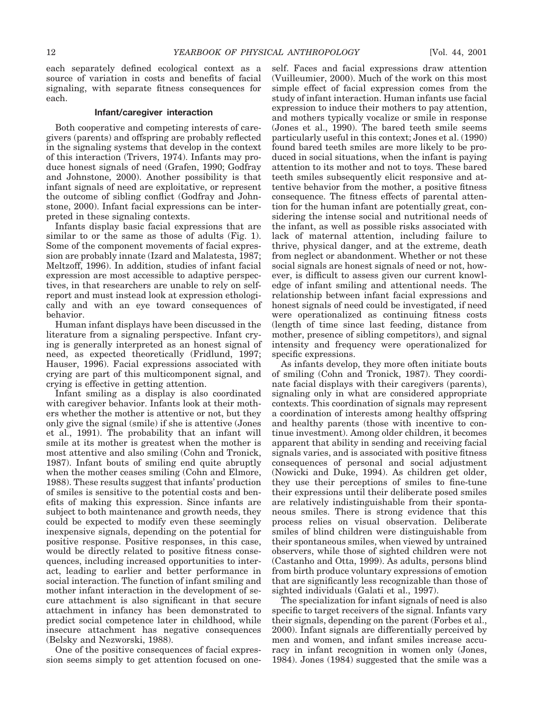each separately defined ecological context as a source of variation in costs and benefits of facial signaling, with separate fitness consequences for each.

## **Infant/caregiver interaction**

Both cooperative and competing interests of caregivers (parents) and offspring are probably reflected in the signaling systems that develop in the context of this interaction (Trivers, 1974). Infants may produce honest signals of need (Grafen, 1990; Godfray and Johnstone, 2000). Another possibility is that infant signals of need are exploitative, or represent the outcome of sibling conflict (Godfray and Johnstone, 2000). Infant facial expressions can be interpreted in these signaling contexts.

Infants display basic facial expressions that are similar to or the same as those of adults (Fig. 1). Some of the component movements of facial expression are probably innate (Izard and Malatesta, 1987; Meltzoff, 1996). In addition, studies of infant facial expression are most accessible to adaptive perspectives, in that researchers are unable to rely on selfreport and must instead look at expression ethologically and with an eye toward consequences of behavior.

Human infant displays have been discussed in the literature from a signaling perspective. Infant crying is generally interpreted as an honest signal of need, as expected theoretically (Fridlund, 1997; Hauser, 1996). Facial expressions associated with crying are part of this multicomponent signal, and crying is effective in getting attention.

Infant smiling as a display is also coordinated with caregiver behavior. Infants look at their mothers whether the mother is attentive or not, but they only give the signal (smile) if she is attentive (Jones et al., 1991). The probability that an infant will smile at its mother is greatest when the mother is most attentive and also smiling (Cohn and Tronick, 1987). Infant bouts of smiling end quite abruptly when the mother ceases smiling (Cohn and Elmore, 1988). These results suggest that infants' production of smiles is sensitive to the potential costs and benefits of making this expression. Since infants are subject to both maintenance and growth needs, they could be expected to modify even these seemingly inexpensive signals, depending on the potential for positive response. Positive responses, in this case, would be directly related to positive fitness consequences, including increased opportunities to interact, leading to earlier and better performance in social interaction. The function of infant smiling and mother infant interaction in the development of secure attachment is also significant in that secure attachment in infancy has been demonstrated to predict social competence later in childhood, while insecure attachment has negative consequences (Belsky and Nezworski, 1988).

One of the positive consequences of facial expression seems simply to get attention focused on oneself. Faces and facial expressions draw attention (Vuilleumier, 2000). Much of the work on this most simple effect of facial expression comes from the study of infant interaction. Human infants use facial expression to induce their mothers to pay attention, and mothers typically vocalize or smile in response (Jones et al., 1990). The bared teeth smile seems particularly useful in this context; Jones et al. (1990) found bared teeth smiles are more likely to be produced in social situations, when the infant is paying attention to its mother and not to toys. These bared teeth smiles subsequently elicit responsive and attentive behavior from the mother, a positive fitness consequence. The fitness effects of parental attention for the human infant are potentially great, considering the intense social and nutritional needs of the infant, as well as possible risks associated with lack of maternal attention, including failure to thrive, physical danger, and at the extreme, death from neglect or abandonment. Whether or not these social signals are honest signals of need or not, however, is difficult to assess given our current knowledge of infant smiling and attentional needs. The relationship between infant facial expressions and honest signals of need could be investigated, if need were operationalized as continuing fitness costs (length of time since last feeding, distance from mother, presence of sibling competitors), and signal intensity and frequency were operationalized for specific expressions.

As infants develop, they more often initiate bouts of smiling (Cohn and Tronick, 1987). They coordinate facial displays with their caregivers (parents), signaling only in what are considered appropriate contexts. This coordination of signals may represent a coordination of interests among healthy offspring and healthy parents (those with incentive to continue investment). Among older children, it becomes apparent that ability in sending and receiving facial signals varies, and is associated with positive fitness consequences of personal and social adjustment (Nowicki and Duke, 1994). As children get older, they use their perceptions of smiles to fine-tune their expressions until their deliberate posed smiles are relatively indistinguishable from their spontaneous smiles. There is strong evidence that this process relies on visual observation. Deliberate smiles of blind children were distinguishable from their spontaneous smiles, when viewed by untrained observers, while those of sighted children were not (Castanho and Otta, 1999). As adults, persons blind from birth produce voluntary expressions of emotion that are significantly less recognizable than those of sighted individuals (Galati et al., 1997).

The specialization for infant signals of need is also specific to target receivers of the signal. Infants vary their signals, depending on the parent (Forbes et al., 2000). Infant signals are differentially perceived by men and women, and infant smiles increase accuracy in infant recognition in women only (Jones, 1984). Jones (1984) suggested that the smile was a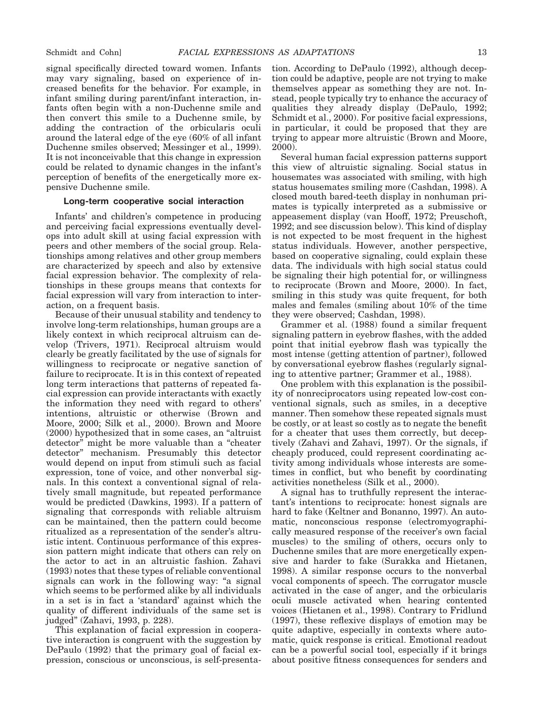signal specifically directed toward women. Infants may vary signaling, based on experience of increased benefits for the behavior. For example, in infant smiling during parent/infant interaction, infants often begin with a non-Duchenne smile and then convert this smile to a Duchenne smile, by adding the contraction of the orbicularis oculi around the lateral edge of the eye (60% of all infant Duchenne smiles observed; Messinger et al., 1999). It is not inconceivable that this change in expression could be related to dynamic changes in the infant's perception of benefits of the energetically more expensive Duchenne smile.

#### **Long-term cooperative social interaction**

Infants' and children's competence in producing and perceiving facial expressions eventually develops into adult skill at using facial expression with peers and other members of the social group. Relationships among relatives and other group members are characterized by speech and also by extensive facial expression behavior. The complexity of relationships in these groups means that contexts for facial expression will vary from interaction to interaction, on a frequent basis.

Because of their unusual stability and tendency to involve long-term relationships, human groups are a likely context in which reciprocal altruism can develop (Trivers, 1971). Reciprocal altruism would clearly be greatly facilitated by the use of signals for willingness to reciprocate or negative sanction of failure to reciprocate. It is in this context of repeated long term interactions that patterns of repeated facial expression can provide interactants with exactly the information they need with regard to others' intentions, altruistic or otherwise (Brown and Moore, 2000; Silk et al., 2000). Brown and Moore (2000) hypothesized that in some cases, an "altruist detector" might be more valuable than a "cheater detector" mechanism. Presumably this detector would depend on input from stimuli such as facial expression, tone of voice, and other nonverbal signals. In this context a conventional signal of relatively small magnitude, but repeated performance would be predicted (Dawkins, 1993). If a pattern of signaling that corresponds with reliable altruism can be maintained, then the pattern could become ritualized as a representation of the sender's altruistic intent. Continuous performance of this expression pattern might indicate that others can rely on the actor to act in an altruistic fashion. Zahavi (1993) notes that these types of reliable conventional signals can work in the following way: "a signal which seems to be performed alike by all individuals in a set is in fact a 'standard' against which the quality of different individuals of the same set is judged" (Zahavi, 1993, p. 228).

This explanation of facial expression in cooperative interaction is congruent with the suggestion by DePaulo (1992) that the primary goal of facial expression, conscious or unconscious, is self-presentation. According to DePaulo (1992), although deception could be adaptive, people are not trying to make themselves appear as something they are not. Instead, people typically try to enhance the accuracy of qualities they already display (DePaulo, 1992; Schmidt et al., 2000). For positive facial expressions, in particular, it could be proposed that they are trying to appear more altruistic (Brown and Moore, 2000).

Several human facial expression patterns support this view of altruistic signaling. Social status in housemates was associated with smiling, with high status housemates smiling more (Cashdan, 1998). A closed mouth bared-teeth display in nonhuman primates is typically interpreted as a submissive or appeasement display (van Hooff, 1972; Preuschoft, 1992; and see discussion below). This kind of display is not expected to be most frequent in the highest status individuals. However, another perspective, based on cooperative signaling, could explain these data. The individuals with high social status could be signaling their high potential for, or willingness to reciprocate (Brown and Moore, 2000). In fact, smiling in this study was quite frequent, for both males and females (smiling about 10% of the time they were observed; Cashdan, 1998).

Grammer et al. (1988) found a similar frequent signaling pattern in eyebrow flashes, with the added point that initial eyebrow flash was typically the most intense (getting attention of partner), followed by conversational eyebrow flashes (regularly signaling to attentive partner; Grammer et al., 1988).

One problem with this explanation is the possibility of nonreciprocators using repeated low-cost conventional signals, such as smiles, in a deceptive manner. Then somehow these repeated signals must be costly, or at least so costly as to negate the benefit for a cheater that uses them correctly, but deceptively (Zahavi and Zahavi, 1997). Or the signals, if cheaply produced, could represent coordinating activity among individuals whose interests are sometimes in conflict, but who benefit by coordinating activities nonetheless (Silk et al., 2000).

A signal has to truthfully represent the interactant's intentions to reciprocate: honest signals are hard to fake (Keltner and Bonanno, 1997). An automatic, nonconscious response (electromyographically measured response of the receiver's own facial muscles) to the smiling of others, occurs only to Duchenne smiles that are more energetically expensive and harder to fake (Surakka and Hietanen, 1998). A similar response occurs to the nonverbal vocal components of speech. The corrugator muscle activated in the case of anger, and the orbicularis oculi muscle activated when hearing contented voices (Hietanen et al., 1998). Contrary to Fridlund (1997), these reflexive displays of emotion may be quite adaptive, especially in contexts where automatic, quick response is critical. Emotional readout can be a powerful social tool, especially if it brings about positive fitness consequences for senders and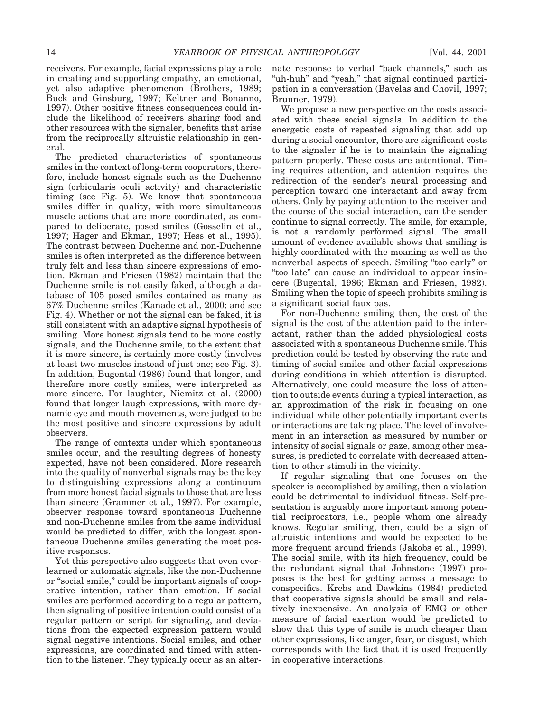receivers. For example, facial expressions play a role in creating and supporting empathy, an emotional, yet also adaptive phenomenon (Brothers, 1989; Buck and Ginsburg, 1997; Keltner and Bonanno, 1997). Other positive fitness consequences could include the likelihood of receivers sharing food and other resources with the signaler, benefits that arise from the reciprocally altruistic relationship in general.

The predicted characteristics of spontaneous smiles in the context of long-term cooperators, therefore, include honest signals such as the Duchenne sign (orbicularis oculi activity) and characteristic timing (see Fig. 5). We know that spontaneous smiles differ in quality, with more simultaneous muscle actions that are more coordinated, as compared to deliberate, posed smiles (Gosselin et al., 1997; Hager and Ekman, 1997; Hess et al., 1995). The contrast between Duchenne and non-Duchenne smiles is often interpreted as the difference between truly felt and less than sincere expressions of emotion. Ekman and Friesen (1982) maintain that the Duchenne smile is not easily faked, although a database of 105 posed smiles contained as many as 67% Duchenne smiles (Kanade et al., 2000; and see Fig. 4). Whether or not the signal can be faked, it is still consistent with an adaptive signal hypothesis of smiling. More honest signals tend to be more costly signals, and the Duchenne smile, to the extent that it is more sincere, is certainly more costly (involves at least two muscles instead of just one; see Fig. 3). In addition, Bugental (1986) found that longer, and therefore more costly smiles, were interpreted as more sincere. For laughter, Niemitz et al. (2000) found that longer laugh expressions, with more dynamic eye and mouth movements, were judged to be the most positive and sincere expressions by adult observers.

The range of contexts under which spontaneous smiles occur, and the resulting degrees of honesty expected, have not been considered. More research into the quality of nonverbal signals may be the key to distinguishing expressions along a continuum from more honest facial signals to those that are less than sincere (Grammer et al., 1997). For example, observer response toward spontaneous Duchenne and non-Duchenne smiles from the same individual would be predicted to differ, with the longest spontaneous Duchenne smiles generating the most positive responses.

Yet this perspective also suggests that even overlearned or automatic signals, like the non-Duchenne or "social smile," could be important signals of cooperative intention, rather than emotion. If social smiles are performed according to a regular pattern, then signaling of positive intention could consist of a regular pattern or script for signaling, and deviations from the expected expression pattern would signal negative intentions. Social smiles, and other expressions, are coordinated and timed with attention to the listener. They typically occur as an alternate response to verbal "back channels," such as "uh-huh" and "yeah," that signal continued participation in a conversation (Bavelas and Chovil, 1997; Brunner, 1979).

We propose a new perspective on the costs associated with these social signals. In addition to the energetic costs of repeated signaling that add up during a social encounter, there are significant costs to the signaler if he is to maintain the signaling pattern properly. These costs are attentional. Timing requires attention, and attention requires the redirection of the sender's neural processing and perception toward one interactant and away from others. Only by paying attention to the receiver and the course of the social interaction, can the sender continue to signal correctly. The smile, for example, is not a randomly performed signal. The small amount of evidence available shows that smiling is highly coordinated with the meaning as well as the nonverbal aspects of speech. Smiling "too early" or "too late" can cause an individual to appear insincere (Bugental, 1986; Ekman and Friesen, 1982). Smiling when the topic of speech prohibits smiling is a significant social faux pas.

For non-Duchenne smiling then, the cost of the signal is the cost of the attention paid to the interactant, rather than the added physiological costs associated with a spontaneous Duchenne smile. This prediction could be tested by observing the rate and timing of social smiles and other facial expressions during conditions in which attention is disrupted. Alternatively, one could measure the loss of attention to outside events during a typical interaction, as an approximation of the risk in focusing on one individual while other potentially important events or interactions are taking place. The level of involvement in an interaction as measured by number or intensity of social signals or gaze, among other measures, is predicted to correlate with decreased attention to other stimuli in the vicinity.

If regular signaling that one focuses on the speaker is accomplished by smiling, then a violation could be detrimental to individual fitness. Self-presentation is arguably more important among potential reciprocators, i.e., people whom one already knows. Regular smiling, then, could be a sign of altruistic intentions and would be expected to be more frequent around friends (Jakobs et al., 1999). The social smile, with its high frequency, could be the redundant signal that Johnstone (1997) proposes is the best for getting across a message to conspecifics. Krebs and Dawkins (1984) predicted that cooperative signals should be small and relatively inexpensive. An analysis of EMG or other measure of facial exertion would be predicted to show that this type of smile is much cheaper than other expressions, like anger, fear, or disgust, which corresponds with the fact that it is used frequently in cooperative interactions.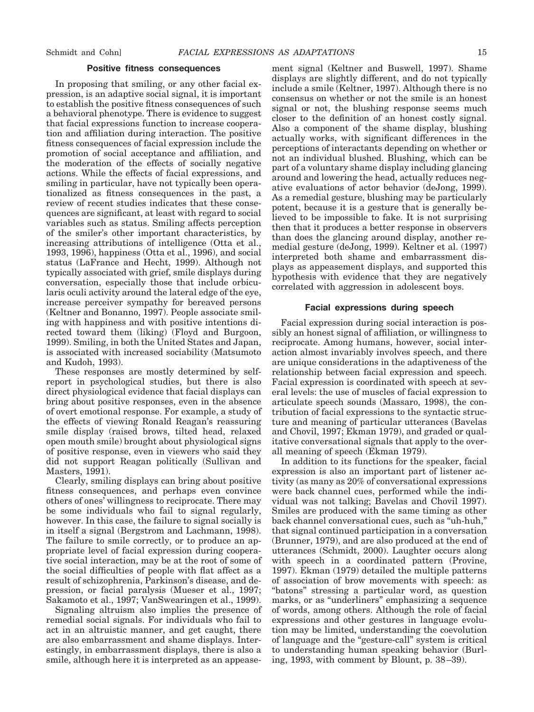## **Positive fitness consequences**

In proposing that smiling, or any other facial expression, is an adaptive social signal, it is important to establish the positive fitness consequences of such a behavioral phenotype. There is evidence to suggest that facial expressions function to increase cooperation and affiliation during interaction. The positive fitness consequences of facial expression include the promotion of social acceptance and affiliation, and the moderation of the effects of socially negative actions. While the effects of facial expressions, and smiling in particular, have not typically been operationalized as fitness consequences in the past, a review of recent studies indicates that these consequences are significant, at least with regard to social variables such as status. Smiling affects perception of the smiler's other important characteristics, by increasing attributions of intelligence (Otta et al., 1993, 1996), happiness (Otta et al., 1996), and social status (LaFrance and Hecht, 1999). Although not typically associated with grief, smile displays during conversation, especially those that include orbicularis oculi activity around the lateral edge of the eye, increase perceiver sympathy for bereaved persons (Keltner and Bonanno, 1997). People associate smiling with happiness and with positive intentions directed toward them (liking) (Floyd and Burgoon, 1999). Smiling, in both the United States and Japan, is associated with increased sociability (Matsumoto and Kudoh, 1993).

These responses are mostly determined by selfreport in psychological studies, but there is also direct physiological evidence that facial displays can bring about positive responses, even in the absence of overt emotional response. For example, a study of the effects of viewing Ronald Reagan's reassuring smile display (raised brows, tilted head, relaxed open mouth smile) brought about physiological signs of positive response, even in viewers who said they did not support Reagan politically (Sullivan and Masters, 1991).

Clearly, smiling displays can bring about positive fitness consequences, and perhaps even convince others of ones' willingness to reciprocate. There may be some individuals who fail to signal regularly, however. In this case, the failure to signal socially is in itself a signal (Bergstrom and Lachmann, 1998). The failure to smile correctly, or to produce an appropriate level of facial expression during cooperative social interaction, may be at the root of some of the social difficulties of people with flat affect as a result of schizophrenia, Parkinson's disease, and depression, or facial paralysis (Mueser et al., 1997; Sakamoto et al., 1997; VanSwearingen et al., 1999).

Signaling altruism also implies the presence of remedial social signals. For individuals who fail to act in an altruistic manner, and get caught, there are also embarrassment and shame displays. Interestingly, in embarrassment displays, there is also a smile, although here it is interpreted as an appeasement signal (Keltner and Buswell, 1997). Shame displays are slightly different, and do not typically include a smile (Keltner, 1997). Although there is no consensus on whether or not the smile is an honest signal or not, the blushing response seems much closer to the definition of an honest costly signal. Also a component of the shame display, blushing actually works, with significant differences in the perceptions of interactants depending on whether or not an individual blushed. Blushing, which can be part of a voluntary shame display including glancing around and lowering the head, actually reduces negative evaluations of actor behavior (deJong, 1999). As a remedial gesture, blushing may be particularly potent, because it is a gesture that is generally believed to be impossible to fake. It is not surprising then that it produces a better response in observers than does the glancing around display, another remedial gesture (deJong, 1999). Keltner et al. (1997) interpreted both shame and embarrassment displays as appeasement displays, and supported this hypothesis with evidence that they are negatively correlated with aggression in adolescent boys.

## **Facial expressions during speech**

Facial expression during social interaction is possibly an honest signal of affiliation, or willingness to reciprocate. Among humans, however, social interaction almost invariably involves speech, and there are unique considerations in the adaptiveness of the relationship between facial expression and speech. Facial expression is coordinated with speech at several levels: the use of muscles of facial expression to articulate speech sounds (Massaro, 1998), the contribution of facial expressions to the syntactic structure and meaning of particular utterances (Bavelas and Chovil, 1997; Ekman 1979), and graded or qualitative conversational signals that apply to the overall meaning of speech (Ekman 1979).

In addition to its functions for the speaker, facial expression is also an important part of listener activity (as many as 20% of conversational expressions were back channel cues, performed while the individual was not talking; Bavelas and Chovil 1997). Smiles are produced with the same timing as other back channel conversational cues, such as "uh-huh," that signal continued participation in a conversation (Brunner, 1979), and are also produced at the end of utterances (Schmidt, 2000). Laughter occurs along with speech in a coordinated pattern (Provine, 1997). Ekman (1979) detailed the multiple patterns of association of brow movements with speech: as "batons" stressing a particular word, as question marks, or as "underliners" emphasizing a sequence of words, among others. Although the role of facial expressions and other gestures in language evolution may be limited, understanding the coevolution of language and the "gesture-call" system is critical to understanding human speaking behavior (Burling, 1993, with comment by Blount, p. 38–39).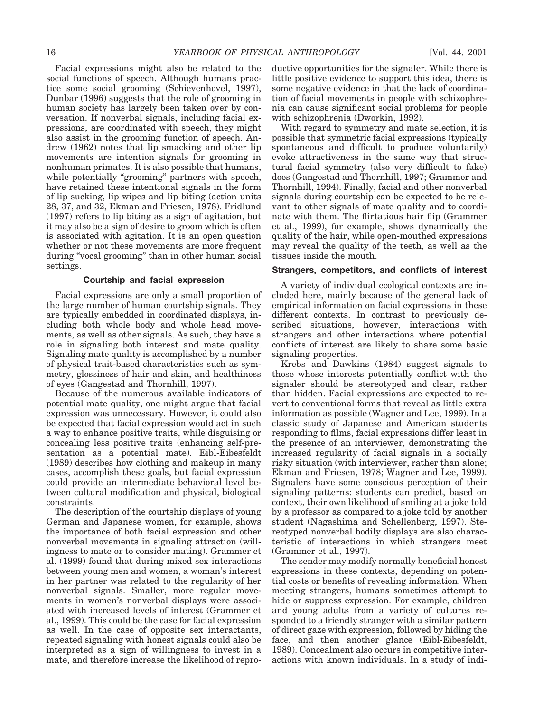Facial expressions might also be related to the social functions of speech. Although humans practice some social grooming (Schievenhovel, 1997), Dunbar (1996) suggests that the role of grooming in human society has largely been taken over by conversation. If nonverbal signals, including facial expressions, are coordinated with speech, they might also assist in the grooming function of speech. Andrew (1962) notes that lip smacking and other lip movements are intention signals for grooming in nonhuman primates. It is also possible that humans, while potentially "grooming" partners with speech, have retained these intentional signals in the form of lip sucking, lip wipes and lip biting (action units 28, 37, and 32, Ekman and Friesen, 1978). Fridlund (1997) refers to lip biting as a sign of agitation, but it may also be a sign of desire to groom which is often is associated with agitation. It is an open question whether or not these movements are more frequent during "vocal grooming" than in other human social settings.

#### **Courtship and facial expression**

Facial expressions are only a small proportion of the large number of human courtship signals. They are typically embedded in coordinated displays, including both whole body and whole head movements, as well as other signals. As such, they have a role in signaling both interest and mate quality. Signaling mate quality is accomplished by a number of physical trait-based characteristics such as symmetry, glossiness of hair and skin, and healthiness of eyes (Gangestad and Thornhill, 1997).

Because of the numerous available indicators of potential mate quality, one might argue that facial expression was unnecessary. However, it could also be expected that facial expression would act in such a way to enhance positive traits, while disguising or concealing less positive traits (enhancing self-presentation as a potential mate). Eibl-Eibesfeldt (1989) describes how clothing and makeup in many cases, accomplish these goals, but facial expression could provide an intermediate behavioral level between cultural modification and physical, biological constraints.

The description of the courtship displays of young German and Japanese women, for example, shows the importance of both facial expression and other nonverbal movements in signaling attraction (willingness to mate or to consider mating). Grammer et al. (1999) found that during mixed sex interactions between young men and women, a woman's interest in her partner was related to the regularity of her nonverbal signals. Smaller, more regular movements in women's nonverbal displays were associated with increased levels of interest (Grammer et al., 1999). This could be the case for facial expression as well. In the case of opposite sex interactants, repeated signaling with honest signals could also be interpreted as a sign of willingness to invest in a mate, and therefore increase the likelihood of reproductive opportunities for the signaler. While there is little positive evidence to support this idea, there is some negative evidence in that the lack of coordination of facial movements in people with schizophrenia can cause significant social problems for people with schizophrenia (Dworkin, 1992).

With regard to symmetry and mate selection, it is possible that symmetric facial expressions (typically spontaneous and difficult to produce voluntarily) evoke attractiveness in the same way that structural facial symmetry (also very difficult to fake) does (Gangestad and Thornhill, 1997; Grammer and Thornhill, 1994). Finally, facial and other nonverbal signals during courtship can be expected to be relevant to other signals of mate quality and to coordinate with them. The flirtatious hair flip (Grammer et al., 1999), for example, shows dynamically the quality of the hair, while open-mouthed expressions may reveal the quality of the teeth, as well as the tissues inside the mouth.

## **Strangers, competitors, and conflicts of interest**

A variety of individual ecological contexts are included here, mainly because of the general lack of empirical information on facial expressions in these different contexts. In contrast to previously described situations, however, interactions with strangers and other interactions where potential conflicts of interest are likely to share some basic signaling properties.

Krebs and Dawkins (1984) suggest signals to those whose interests potentially conflict with the signaler should be stereotyped and clear, rather than hidden. Facial expressions are expected to revert to conventional forms that reveal as little extra information as possible (Wagner and Lee, 1999). In a classic study of Japanese and American students responding to films, facial expressions differ least in the presence of an interviewer, demonstrating the increased regularity of facial signals in a socially risky situation (with interviewer, rather than alone; Ekman and Friesen, 1978; Wagner and Lee, 1999). Signalers have some conscious perception of their signaling patterns: students can predict, based on context, their own likelihood of smiling at a joke told by a professor as compared to a joke told by another student (Nagashima and Schellenberg, 1997). Stereotyped nonverbal bodily displays are also characteristic of interactions in which strangers meet (Grammer et al., 1997).

The sender may modify normally beneficial honest expressions in these contexts, depending on potential costs or benefits of revealing information. When meeting strangers, humans sometimes attempt to hide or suppress expression. For example, children and young adults from a variety of cultures responded to a friendly stranger with a similar pattern of direct gaze with expression, followed by hiding the face, and then another glance (Eibl-Eibesfeldt, 1989). Concealment also occurs in competitive interactions with known individuals. In a study of indi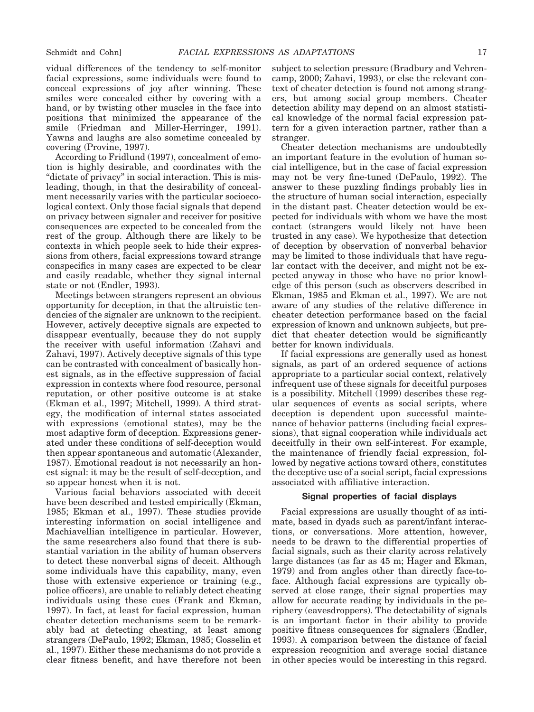vidual differences of the tendency to self-monitor facial expressions, some individuals were found to conceal expressions of joy after winning. These smiles were concealed either by covering with a hand, or by twisting other muscles in the face into positions that minimized the appearance of the smile (Friedman and Miller-Herringer, 1991). Yawns and laughs are also sometime concealed by covering (Provine, 1997).

According to Fridlund (1997), concealment of emotion is highly desirable, and coordinates with the "dictate of privacy" in social interaction. This is misleading, though, in that the desirability of concealment necessarily varies with the particular socioecological context. Only those facial signals that depend on privacy between signaler and receiver for positive consequences are expected to be concealed from the rest of the group. Although there are likely to be contexts in which people seek to hide their expressions from others, facial expressions toward strange conspecifics in many cases are expected to be clear and easily readable, whether they signal internal state or not (Endler, 1993).

Meetings between strangers represent an obvious opportunity for deception, in that the altruistic tendencies of the signaler are unknown to the recipient. However, actively deceptive signals are expected to disappear eventually, because they do not supply the receiver with useful information (Zahavi and Zahavi, 1997). Actively deceptive signals of this type can be contrasted with concealment of basically honest signals, as in the effective suppression of facial expression in contexts where food resource, personal reputation, or other positive outcome is at stake (Ekman et al., 1997; Mitchell, 1999). A third strategy, the modification of internal states associated with expressions (emotional states), may be the most adaptive form of deception. Expressions generated under these conditions of self-deception would then appear spontaneous and automatic (Alexander, 1987). Emotional readout is not necessarily an honest signal: it may be the result of self-deception, and so appear honest when it is not.

Various facial behaviors associated with deceit have been described and tested empirically (Ekman, 1985; Ekman et al., 1997). These studies provide interesting information on social intelligence and Machiavellian intelligence in particular. However, the same researchers also found that there is substantial variation in the ability of human observers to detect these nonverbal signs of deceit. Although some individuals have this capability, many, even those with extensive experience or training (e.g., police officers), are unable to reliably detect cheating individuals using these cues (Frank and Ekman, 1997). In fact, at least for facial expression, human cheater detection mechanisms seem to be remarkably bad at detecting cheating, at least among strangers (DePaulo, 1992; Ekman, 1985; Gosselin et al., 1997). Either these mechanisms do not provide a clear fitness benefit, and have therefore not been

subject to selection pressure (Bradbury and Vehrencamp, 2000; Zahavi, 1993), or else the relevant context of cheater detection is found not among strangers, but among social group members. Cheater detection ability may depend on an almost statistical knowledge of the normal facial expression pattern for a given interaction partner, rather than a stranger.

Cheater detection mechanisms are undoubtedly an important feature in the evolution of human social intelligence, but in the case of facial expression may not be very fine-tuned (DePaulo, 1992). The answer to these puzzling findings probably lies in the structure of human social interaction, especially in the distant past. Cheater detection would be expected for individuals with whom we have the most contact (strangers would likely not have been trusted in any case). We hypothesize that detection of deception by observation of nonverbal behavior may be limited to those individuals that have regular contact with the deceiver, and might not be expected anyway in those who have no prior knowledge of this person (such as observers described in Ekman, 1985 and Ekman et al., 1997). We are not aware of any studies of the relative difference in cheater detection performance based on the facial expression of known and unknown subjects, but predict that cheater detection would be significantly better for known individuals.

If facial expressions are generally used as honest signals, as part of an ordered sequence of actions appropriate to a particular social context, relatively infrequent use of these signals for deceitful purposes is a possibility. Mitchell (1999) describes these regular sequences of events as social scripts, where deception is dependent upon successful maintenance of behavior patterns (including facial expressions), that signal cooperation while individuals act deceitfully in their own self-interest. For example, the maintenance of friendly facial expression, followed by negative actions toward others, constitutes the deceptive use of a social script, facial expressions associated with affiliative interaction.

## **Signal properties of facial displays**

Facial expressions are usually thought of as intimate, based in dyads such as parent/infant interactions, or conversations. More attention, however, needs to be drawn to the differential properties of facial signals, such as their clarity across relatively large distances (as far as 45 m; Hager and Ekman, 1979) and from angles other than directly face-toface. Although facial expressions are typically observed at close range, their signal properties may allow for accurate reading by individuals in the periphery (eavesdroppers). The detectability of signals is an important factor in their ability to provide positive fitness consequences for signalers (Endler, 1993). A comparison between the distance of facial expression recognition and average social distance in other species would be interesting in this regard.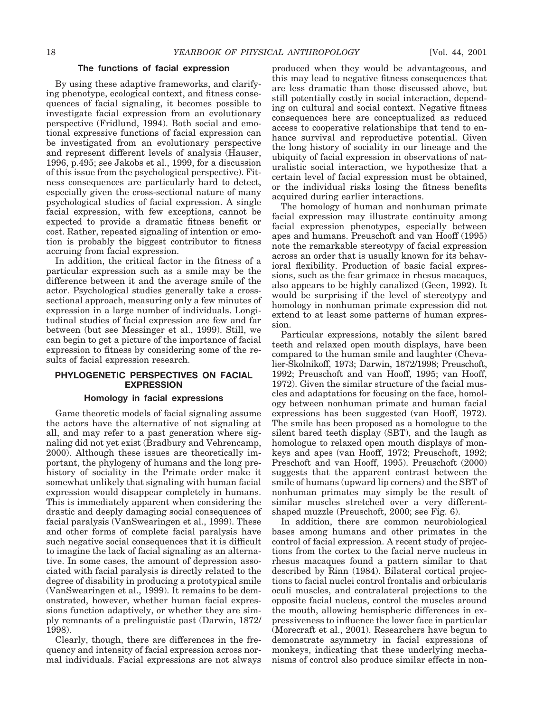#### **The functions of facial expression**

By using these adaptive frameworks, and clarifying phenotype, ecological context, and fitness consequences of facial signaling, it becomes possible to investigate facial expression from an evolutionary perspective (Fridlund, 1994). Both social and emotional expressive functions of facial expression can be investigated from an evolutionary perspective and represent different levels of analysis (Hauser, 1996, p.495; see Jakobs et al., 1999, for a discussion of this issue from the psychological perspective). Fitness consequences are particularly hard to detect, especially given the cross-sectional nature of many psychological studies of facial expression. A single facial expression, with few exceptions, cannot be expected to provide a dramatic fitness benefit or cost. Rather, repeated signaling of intention or emotion is probably the biggest contributor to fitness accruing from facial expression.

In addition, the critical factor in the fitness of a particular expression such as a smile may be the difference between it and the average smile of the actor. Psychological studies generally take a crosssectional approach, measuring only a few minutes of expression in a large number of individuals. Longitudinal studies of facial expression are few and far between (but see Messinger et al., 1999). Still, we can begin to get a picture of the importance of facial expression to fitness by considering some of the results of facial expression research.

# **PHYLOGENETIC PERSPECTIVES ON FACIAL EXPRESSION**

#### **Homology in facial expressions**

Game theoretic models of facial signaling assume the actors have the alternative of not signaling at all, and may refer to a past generation where signaling did not yet exist (Bradbury and Vehrencamp, 2000). Although these issues are theoretically important, the phylogeny of humans and the long prehistory of sociality in the Primate order make it somewhat unlikely that signaling with human facial expression would disappear completely in humans. This is immediately apparent when considering the drastic and deeply damaging social consequences of facial paralysis (VanSwearingen et al., 1999). These and other forms of complete facial paralysis have such negative social consequences that it is difficult to imagine the lack of facial signaling as an alternative. In some cases, the amount of depression associated with facial paralysis is directly related to the degree of disability in producing a prototypical smile (VanSwearingen et al., 1999). It remains to be demonstrated, however, whether human facial expressions function adaptively, or whether they are simply remnants of a prelinguistic past (Darwin, 1872/ 1998).

Clearly, though, there are differences in the frequency and intensity of facial expression across normal individuals. Facial expressions are not always produced when they would be advantageous, and this may lead to negative fitness consequences that are less dramatic than those discussed above, but still potentially costly in social interaction, depending on cultural and social context. Negative fitness consequences here are conceptualized as reduced access to cooperative relationships that tend to enhance survival and reproductive potential. Given the long history of sociality in our lineage and the ubiquity of facial expression in observations of naturalistic social interaction, we hypothesize that a certain level of facial expression must be obtained, or the individual risks losing the fitness benefits acquired during earlier interactions.

The homology of human and nonhuman primate facial expression may illustrate continuity among facial expression phenotypes, especially between apes and humans. Preuschoft and van Hooff (1995) note the remarkable stereotypy of facial expression across an order that is usually known for its behavioral flexibility. Production of basic facial expressions, such as the fear grimace in rhesus macaques, also appears to be highly canalized (Geen, 1992). It would be surprising if the level of stereotypy and homology in nonhuman primate expression did not extend to at least some patterns of human expression.

Particular expressions, notably the silent bared teeth and relaxed open mouth displays, have been compared to the human smile and laughter (Chevalier-Skolnikoff, 1973; Darwin, 1872/1998; Preuschoft, 1992; Preuschoft and van Hooff, 1995; van Hooff, 1972). Given the similar structure of the facial muscles and adaptations for focusing on the face, homology between nonhuman primate and human facial expressions has been suggested (van Hooff, 1972). The smile has been proposed as a homologue to the silent bared teeth display (SBT), and the laugh as homologue to relaxed open mouth displays of monkeys and apes (van Hooff, 1972; Preuschoft, 1992; Preschoft and van Hooff, 1995). Preuschoft (2000) suggests that the apparent contrast between the smile of humans (upward lip corners) and the SBT of nonhuman primates may simply be the result of similar muscles stretched over a very differentshaped muzzle (Preuschoft, 2000; see Fig. 6).

In addition, there are common neurobiological bases among humans and other primates in the control of facial expression. A recent study of projections from the cortex to the facial nerve nucleus in rhesus macaques found a pattern similar to that described by Rinn (1984). Bilateral cortical projections to facial nuclei control frontalis and orbicularis oculi muscles, and contralateral projections to the opposite facial nucleus, control the muscles around the mouth, allowing hemispheric differences in expressiveness to influence the lower face in particular (Morecraft et al., 2001). Researchers have begun to demonstrate asymmetry in facial expressions of monkeys, indicating that these underlying mechanisms of control also produce similar effects in non-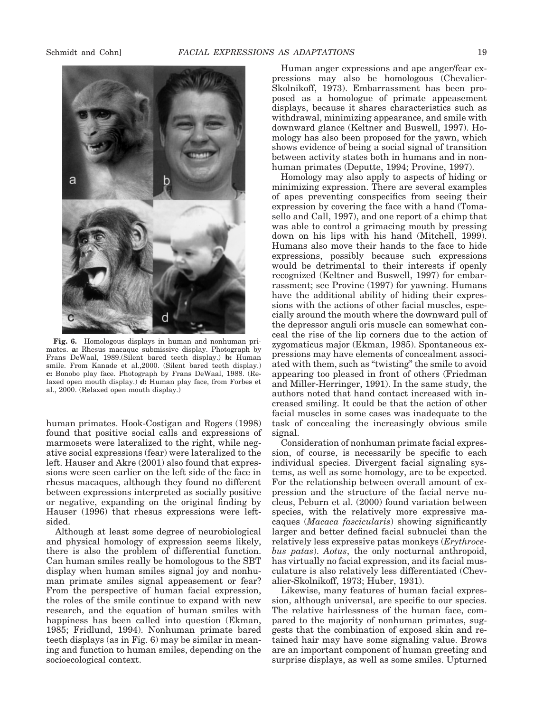

**Fig. 6.** Homologous displays in human and nonhuman primates. **a:** Rhesus macaque submissive display. Photograph by Frans DeWaal, 1989.(Silent bared teeth display.) **b:** Human smile. From Kanade et al.,2000. (Silent bared teeth display.) **c:** Bonobo play face. Photograph by Frans DeWaal, 1988. (Relaxed open mouth display.) **d:** Human play face, from Forbes et al., 2000. (Relaxed open mouth display.)

human primates. Hook-Costigan and Rogers (1998) found that positive social calls and expressions of marmosets were lateralized to the right, while negative social expressions (fear) were lateralized to the left. Hauser and Akre (2001) also found that expressions were seen earlier on the left side of the face in rhesus macaques, although they found no different between expressions interpreted as socially positive or negative, expanding on the original finding by Hauser (1996) that rhesus expressions were leftsided.

Although at least some degree of neurobiological and physical homology of expression seems likely, there is also the problem of differential function. Can human smiles really be homologous to the SBT display when human smiles signal joy and nonhuman primate smiles signal appeasement or fear? From the perspective of human facial expression, the roles of the smile continue to expand with new research, and the equation of human smiles with happiness has been called into question (Ekman, 1985; Fridlund, 1994). Nonhuman primate bared teeth displays (as in Fig. 6) may be similar in meaning and function to human smiles, depending on the socioecological context.

Human anger expressions and ape anger/fear expressions may also be homologous (Chevalier-Skolnikoff, 1973). Embarrassment has been proposed as a homologue of primate appeasement displays, because it shares characteristics such as withdrawal, minimizing appearance, and smile with downward glance (Keltner and Buswell, 1997). Homology has also been proposed for the yawn, which shows evidence of being a social signal of transition between activity states both in humans and in nonhuman primates (Deputte, 1994; Provine, 1997).

Homology may also apply to aspects of hiding or minimizing expression. There are several examples of apes preventing conspecifics from seeing their expression by covering the face with a hand (Tomasello and Call, 1997), and one report of a chimp that was able to control a grimacing mouth by pressing down on his lips with his hand (Mitchell, 1999). Humans also move their hands to the face to hide expressions, possibly because such expressions would be detrimental to their interests if openly recognized (Keltner and Buswell, 1997) for embarrassment; see Provine (1997) for yawning. Humans have the additional ability of hiding their expressions with the actions of other facial muscles, especially around the mouth where the downward pull of the depressor anguli oris muscle can somewhat conceal the rise of the lip corners due to the action of zygomaticus major (Ekman, 1985). Spontaneous expressions may have elements of concealment associated with them, such as "twisting" the smile to avoid appearing too pleased in front of others (Friedman and Miller-Herringer, 1991). In the same study, the authors noted that hand contact increased with increased smiling. It could be that the action of other facial muscles in some cases was inadequate to the task of concealing the increasingly obvious smile signal.

Consideration of nonhuman primate facial expression, of course, is necessarily be specific to each individual species. Divergent facial signaling systems, as well as some homology, are to be expected. For the relationship between overall amount of expression and the structure of the facial nerve nucleus, Peburn et al. (2000) found variation between species, with the relatively more expressive macaques (*Macaca fascicularis*) showing significantly larger and better defined facial subnuclei than the relatively less expressive patas monkeys (*Erythrocebus patas*). *Aotus*, the only nocturnal anthropoid, has virtually no facial expression, and its facial musculature is also relatively less differentiated (Chevalier-Skolnikoff, 1973; Huber, 1931).

Likewise, many features of human facial expression, although universal, are specific to our species. The relative hairlessness of the human face, compared to the majority of nonhuman primates, suggests that the combination of exposed skin and retained hair may have some signaling value. Brows are an important component of human greeting and surprise displays, as well as some smiles. Upturned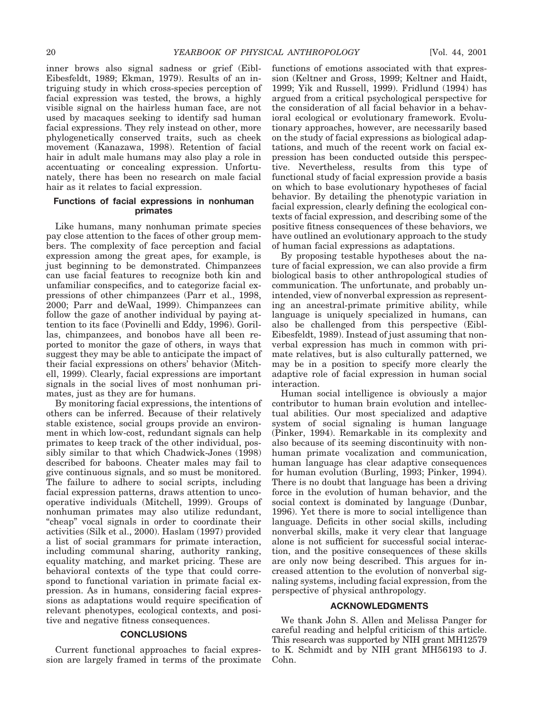inner brows also signal sadness or grief (Eibl-Eibesfeldt, 1989; Ekman, 1979). Results of an intriguing study in which cross-species perception of facial expression was tested, the brows, a highly visible signal on the hairless human face, are not used by macaques seeking to identify sad human facial expressions. They rely instead on other, more phylogenetically conserved traits, such as cheek movement (Kanazawa, 1998). Retention of facial hair in adult male humans may also play a role in accentuating or concealing expression. Unfortunately, there has been no research on male facial hair as it relates to facial expression.

### **Functions of facial expressions in nonhuman primates**

Like humans, many nonhuman primate species pay close attention to the faces of other group members. The complexity of face perception and facial expression among the great apes, for example, is just beginning to be demonstrated. Chimpanzees can use facial features to recognize both kin and unfamiliar conspecifics, and to categorize facial expressions of other chimpanzees (Parr et al., 1998, 2000; Parr and deWaal, 1999). Chimpanzees can follow the gaze of another individual by paying attention to its face (Povinelli and Eddy, 1996). Gorillas, chimpanzees, and bonobos have all been reported to monitor the gaze of others, in ways that suggest they may be able to anticipate the impact of their facial expressions on others' behavior (Mitchell, 1999). Clearly, facial expressions are important signals in the social lives of most nonhuman primates, just as they are for humans.

By monitoring facial expressions, the intentions of others can be inferred. Because of their relatively stable existence, social groups provide an environment in which low-cost, redundant signals can help primates to keep track of the other individual, possibly similar to that which Chadwick-Jones (1998) described for baboons. Cheater males may fail to give continuous signals, and so must be monitored. The failure to adhere to social scripts, including facial expression patterns, draws attention to uncooperative individuals (Mitchell, 1999). Groups of nonhuman primates may also utilize redundant, "cheap" vocal signals in order to coordinate their activities (Silk et al., 2000). Haslam (1997) provided a list of social grammars for primate interaction, including communal sharing, authority ranking, equality matching, and market pricing. These are behavioral contexts of the type that could correspond to functional variation in primate facial expression. As in humans, considering facial expressions as adaptations would require specification of relevant phenotypes, ecological contexts, and positive and negative fitness consequences.

## **CONCLUSIONS**

Current functional approaches to facial expression are largely framed in terms of the proximate functions of emotions associated with that expression (Keltner and Gross, 1999; Keltner and Haidt, 1999; Yik and Russell, 1999). Fridlund (1994) has argued from a critical psychological perspective for the consideration of all facial behavior in a behavioral ecological or evolutionary framework. Evolutionary approaches, however, are necessarily based on the study of facial expressions as biological adaptations, and much of the recent work on facial expression has been conducted outside this perspective. Nevertheless, results from this type of functional study of facial expression provide a basis on which to base evolutionary hypotheses of facial behavior. By detailing the phenotypic variation in facial expression, clearly defining the ecological contexts of facial expression, and describing some of the positive fitness consequences of these behaviors, we have outlined an evolutionary approach to the study of human facial expressions as adaptations.

By proposing testable hypotheses about the nature of facial expression, we can also provide a firm biological basis to other anthropological studies of communication. The unfortunate, and probably unintended, view of nonverbal expression as representing an ancestral-primate primitive ability, while language is uniquely specialized in humans, can also be challenged from this perspective (Eibl-Eibesfeldt, 1989). Instead of just assuming that nonverbal expression has much in common with primate relatives, but is also culturally patterned, we may be in a position to specify more clearly the adaptive role of facial expression in human social interaction.

Human social intelligence is obviously a major contributor to human brain evolution and intellectual abilities. Our most specialized and adaptive system of social signaling is human language (Pinker, 1994). Remarkable in its complexity and also because of its seeming discontinuity with nonhuman primate vocalization and communication, human language has clear adaptive consequences for human evolution (Burling, 1993; Pinker, 1994). There is no doubt that language has been a driving force in the evolution of human behavior, and the social context is dominated by language (Dunbar, 1996). Yet there is more to social intelligence than language. Deficits in other social skills, including nonverbal skills, make it very clear that language alone is not sufficient for successful social interaction, and the positive consequences of these skills are only now being described. This argues for increased attention to the evolution of nonverbal signaling systems, including facial expression, from the perspective of physical anthropology.

## **ACKNOWLEDGMENTS**

We thank John S. Allen and Melissa Panger for careful reading and helpful criticism of this article. This research was supported by NIH grant MH12579 to K. Schmidt and by NIH grant MH56193 to J. Cohn.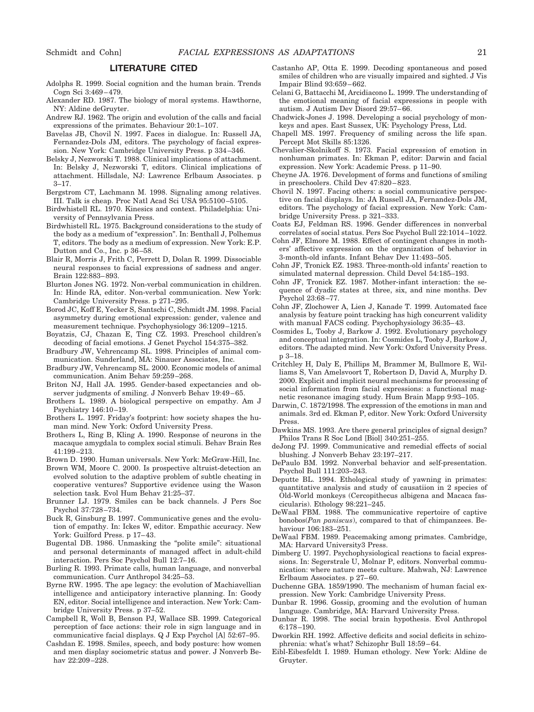#### **LITERATURE CITED**

- Adolphs R. 1999. Social cognition and the human brain. Trends Cogn Sci 3:469–479.
- Alexander RD. 1987. The biology of moral systems. Hawthorne, NY: Aldine deGruyter.
- Andrew RJ. 1962. The origin and evolution of the calls and facial expressions of the primates. Behaviour 20:1–107.
- Bavelas JB, Chovil N. 1997. Faces in dialogue. In: Russell JA, Fernandez-Dols JM, editors. The psychology of facial expression. New York: Cambridge University Press. p 334–346.
- Belsky J, Nezworski T. 1988. Clinical implications of attachment. In: Belsky J, Nezworski T, editors. Clinical implications of attachment. Hillsdale, NJ: Lawrence Erlbaum Associates. p  $3 - 17$ .
- Bergstrom CT, Lachmann M. 1998. Signaling among relatives. III. Talk is cheap. Proc Natl Acad Sci USA 95:5100–5105.
- Birdwhistell RL. 1970. Kinesics and context. Philadelphia: University of Pennsylvania Press.
- Birdwhistell RL. 1975. Background considerations to the study of the body as a medium of "expression". In: Benthall J, Polhemus T, editors. The body as a medium of expression. New York: E.P. Dutton and Co., Inc. p 36–58.
- Blair R, Morris J, Frith C, Perrett D, Dolan R. 1999. Dissociable neural responses to facial expressions of sadness and anger. Brain 122:883–893.
- Blurton Jones NG. 1972. Non-verbal communication in children. In: Hinde RA, editor. Non-verbal communication. New York: Cambridge University Press. p 271–295.
- Borod JC, Koff E, Yecker S, Santschi C, Schmidt JM. 1998. Facial asymmetry during emotional expression: gender, valence and measurement technique. Psychophysiology 36:1209–1215.
- Boyatzis, CJ, Chazan E, Ting CZ. 1993. Preschool children's decoding of facial emotions. J Genet Psychol 154:375–382.
- Bradbury JW, Vehrencamp SL. 1998. Principles of animal communication. Sunderland, MA: Sinauer Associates, Inc.
- Bradbury JW, Vehrencamp SL. 2000. Economic models of animal communication. Anim Behav 59:259–268.
- Briton NJ, Hall JA. 1995. Gender-based expectancies and observer judgments of smiling. J Nonverb Behav 19:49–65.
- Brothers L. 1989. A biological perspective on empathy. Am J Psychiatry 146:10–19.
- Brothers L. 1997. Friday's footprint: how society shapes the human mind. New York: Oxford University Press.
- Brothers L, Ring B, Kling A. 1990. Response of neurons in the macaque amygdala to complex social stimuli. Behav Brain Res 41:199–213.
- Brown D. 1990. Human universals. New York: McGraw-Hill, Inc.
- Brown WM, Moore C. 2000. Is prospective altruist-detection an evolved solution to the adaptive problem of subtle cheating in cooperative ventures? Supportive evidence using the Wason selection task. Evol Hum Behav 21:25–37.
- Brunner LJ. 1979. Smiles can be back channels. J Pers Soc Psychol 37:728–734.
- Buck R, Ginsburg B. 1997. Communicative genes and the evolution of empathy. In: Ickes W, editor. Empathic accuracy. New York: Guilford Press. p 17–43.
- Bugental DB. 1986. Unmasking the "polite smile": situational and personal determinants of managed affect in adult-child interaction. Pers Soc Psychol Bull 12:7–16.
- Burling R. 1993. Primate calls, human language, and nonverbal communication. Curr Anthropol 34:25–53.
- Byrne RW. 1995. The ape legacy: the evolution of Machiavellian intelligence and anticipatory interactive planning. In: Goody EN, editor. Social intelligence and interaction. New York: Cambridge University Press. p 37–52.
- Campbell R, Woll B, Benson PJ, Wallace SB. 1999. Categorical perception of face actions: their role in sign language and in communicative facial displays. Q J Exp Psychol [A] 52:67–95.
- Cashdan E. 1998. Smiles, speech, and body posture: how women and men display sociometric status and power. J Nonverb Behav 22:209–228.
- Castanho AP, Otta E. 1999. Decoding spontaneous and posed smiles of children who are visually impaired and sighted. J Vis Impair Blind 93:659–662.
- Celani G, Battacchi M, Arcidiacono L. 1999. The understanding of the emotional meaning of facial expressions in people with autism. J Autism Dev Disord 29:57–66.
- Chadwick-Jones J. 1998. Developing a social psychology of monkeys and apes. East Sussex, UK: Psychology Press, Ltd.
- Chapell MS. 1997. Frequency of smiling across the life span. Percept Mot Skills 85:1326.
- Chevalier-Skolnikoff S. 1973. Facial expression of emotion in nonhuman primates. In: Ekman P, editor: Darwin and facial expression. New York: Academic Press. p 11–90.
- Cheyne JA. 1976. Development of forms and functions of smiling in preschoolers. Child Dev 47:820–823.
- Chovil N. 1997. Facing others: a social communicative perspective on facial displays. In: JA Russell JA, Fernandez-Dols JM, editors. The psychology of facial expression. New York: Cambridge University Press. p 321–333.
- Coats EJ, Feldman RS. 1996. Gender differences in nonverbal correlates of social status. Pers Soc Psychol Bull 22:1014–1022.
- Cohn JF, Elmore M. 1988. Effect of contingent changes in mothers' affective expression on the organization of behavior in 3-month-old infants. Infant Behav Dev 11:493–505.
- Cohn JF, Tronick EZ. 1983. Three-month-old infants' reaction to simulated maternal depression. Child Devel 54:185–193.
- Cohn JF, Tronick EZ. 1987. Mother-infant interaction: the sequence of dyadic states at three, six, and nine months. Dev Psychol 23:68–77.
- Cohn JF, Zlochower A, Lien J, Kanade T. 1999. Automated face analysis by feature point tracking has high concurrent validity with manual FACS coding. Psychophysiology 36:35–43.
- Cosmides L, Tooby J, Barkow J. 1992. Evolutionary psychology and conceptual integration. In: Cosmides L, Tooby J, Barkow J, editors. The adapted mind. New York: Oxford University Press. p 3–18.
- Critchley H, Daly E, Phillips M, Brammer M, Bullmore E, Williams S, Van Amelsvoort T, Robertson D, David A, Murphy D. 2000. Explicit and implicit neural mechanisms for processing of social information from facial expressions: a functional magnetic resonance imaging study. Hum Brain Mapp 9:93–105.
- Darwin, C. 1872/1998. The expression of the emotions in man and animals. 3rd ed. Ekman P, editor. New York: Oxford University Press.
- Dawkins MS. 1993. Are there general principles of signal design? Philos Trans R Soc Lond [Biol] 340:251–255.
- deJong PJ. 1999. Communicative and remedial effects of social blushing. J Nonverb Behav 23:197–217.
- DePaulo BM. 1992. Nonverbal behavior and self-presentation. Psychol Bull 111:203–243.
- Deputte BL. 1994. Ethological study of yawning in primates: quantitative analysis and study of causatiion in 2 species of Old-World monkeys (Cercopithecus albigena and Macaca fascicularis). Ethology 98:221–245.
- DeWaal FBM. 1988. The communicative repertoire of captive bonobos(*Pan paniscus*), compared to that of chimpanzees. Behaviour 106:183–251.
- DeWaal FBM. 1989. Peacemaking among primates. Cambridge, MA: Harvard University3 Press.
- Dimberg U. 1997. Psychophysiological reactions to facial expressions. In: Segerstrale U, Molnar P, editors. Nonverbal communication: where nature meets culture. Mahwah, NJ: Lawrence Erlbaum Associates. p 27–60.
- Duchenne GBA. 1859/1990. The mechanism of human facial expression. New York: Cambridge University Press.
- Dunbar R. 1996. Gossip, grooming and the evolution of human language. Cambridge, MA: Harvard University Press.
- Dunbar R. 1998. The social brain hypothesis. Evol Anthropol 6:178–190.
- Dworkin RH. 1992. Affective deficits and social deficits in schizophrenia: what's what? Schizophr Bull 18:59–64.
- Eibl-Eibesfeldt I. 1989. Human ethology. New York: Aldine de Gruyter.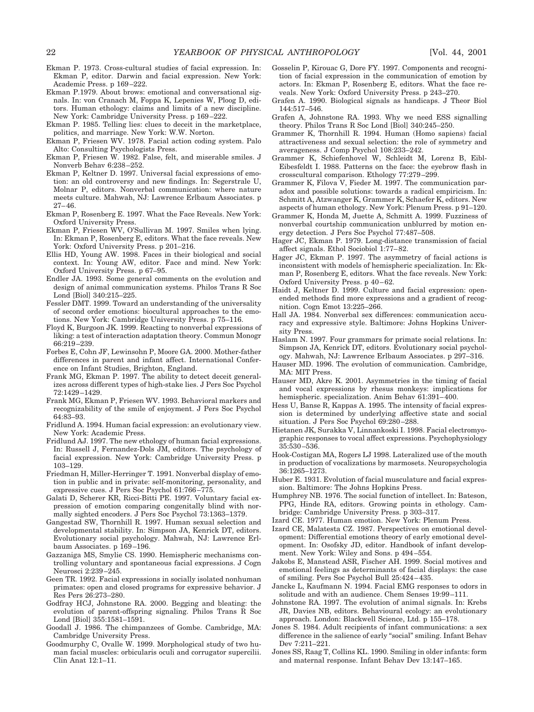- Ekman P. 1973. Cross-cultural studies of facial expression. In: Ekman P, editor. Darwin and facial expression. New York: Academic Press. p 169–222.
- Ekman P.1979. About brows: emotional and conversational signals. In: von Cranach M, Foppa K, Lepenies W, Ploog D, editors. Human ethology: claims and limits of a new discipline. New York: Cambridge University Press. p 169–222.
- Ekman P. 1985. Telling lies: clues to deceit in the marketplace, politics, and marriage. New York: W.W. Norton.
- Ekman P, Friesen WV. 1978. Facial action coding system. Palo Alto: Consulting Psychologists Press.
- Ekman P, Friesen W. 1982. False, felt, and miserable smiles. J Nonverb Behav 6:238–252.
- Ekman P, Keltner D. 1997. Universal facial expressions of emotion: an old controversy and new findings. In: Segerstrale U, Molnar P, editors. Nonverbal communication: where nature meets culture. Mahwah, NJ: Lawrence Erlbaum Associates. p 27–46.
- Ekman P, Rosenberg E. 1997. What the Face Reveals. New York: Oxford University Press.
- Ekman P, Friesen WV, O'Sullivan M. 1997. Smiles when lying. In: Ekman P, Rosenberg E, editors. What the face reveals. New York: Oxford University Press. p 201–216.
- Ellis HD, Young AW. 1998. Faces in their biological and social context. In: Young AW, editor. Face and mind. New York: Oxford University Press. p 67–95.
- Endler JA. 1993. Some general comments on the evolution and design of animal communication systems. Philos Trans R Soc Lond [Biol] 340:215–225.
- Fessler DMT. 1999. Toward an understanding of the universality of second order emotions: biocultural approaches to the emotions. New York: Cambridge University Press. p 75–116.
- Floyd K, Burgoon JK. 1999. Reacting to nonverbal expressions of liking: a test of interaction adaptation theory. Commun Monogr 66:219–239.
- Forbes E, Cohn JF, Lewinsohn P, Moore GA. 2000. Mother-father differences in parent and infant affect. International Conference on Infant Studies, Brighton, England.
- Frank MG, Ekman P. 1997. The ability to detect deceit generalizes across different types of high-stake lies. J Pers Soc Psychol 72:1429–1429.
- Frank MG, Ekman P, Friesen WV. 1993. Behavioral markers and recognizability of the smile of enjoyment. J Pers Soc Psychol 64:83–93.
- Fridlund A. 1994. Human facial expression: an evolutionary view. New York: Academic Press.
- Fridlund AJ. 1997. The new ethology of human facial expressions. In: Russell J, Fernandez-Dols JM, editors. The psychology of facial expression. New York: Cambridge University Press. p 103–129.
- Friedman H, Miller-Herringer T. 1991. Nonverbal display of emotion in public and in private: self-monitoring, personality, and expressive cues. J Pers Soc Psychol 61:766–775.
- Galati D, Scherer KR, Ricci-Bitti PE. 1997. Voluntary facial expression of emotion comparing congenitally blind with normally sighted encoders. J Pers Soc Psychol 73:1363–1379.
- Gangestad SW, Thornhill R. 1997. Human sexual selection and developmental stability. In: Simpson JA, Kenrick DT, editors. Evolutionary social psychology. Mahwah, NJ: Lawrence Erlbaum Associates. p 169–196.
- Gazzaniga MS, Smylie CS. 1990. Hemispheric mechanisms controlling voluntary and spontaneous facial expressions. J Cogn Neurosci 2:239–245.
- Geen TR. 1992. Facial expressions in socially isolated nonhuman primates: open and closed programs for expressive behavior. J Res Pers 26:273–280.
- Godfray HCJ, Johnstone RA. 2000. Begging and bleating: the evolution of parent-offspring signaling. Philos Trans R Soc Lond [Biol] 355:1581–1591.
- Goodall J. 1986. The chimpanzees of Gombe. Cambridge, MA: Cambridge University Press.
- Goodmurphy C, Ovalle W. 1999. Morphological study of two human facial muscles: orbicularis oculi and corrugator supercilii. Clin Anat 12:1–11.
- Gosselin P, Kirouac G, Dore FY. 1997. Components and recognition of facial expression in the communication of emotion by actors. In: Ekman P, Rosenberg E, editors. What the face reveals. New York: Oxford University Press. p 243–270.
- Grafen A. 1990. Biological signals as handicaps. J Theor Biol 144:517–546.
- Grafen A, Johnstone RA. 1993. Why we need ESS signalling theory. Philos Trans R Soc Lond [Biol] 340:245–250.
- Grammer K, Thornhill R. 1994. Human (Homo sapiens) facial attractiveness and sexual selection: the role of symmetry and averageness. J Comp Psychol 108:233–242.
- Grammer K, Schiefenhovel W, Schleidt M, Lorenz B, Eibl-Eibesfeldt I. 1988. Patterns on the face: the eyebrow flash in crosscultural comparison. Ethology 77:279–299.
- Grammer K, Filova V, Fieder M. 1997. The communication paradox and possible solutions: towards a radical empiricism. In: Schmitt A, Atzwanger K, Grammer K, Schaefer K, editors. New aspects of human ethology. New York: Plenum Press. p 91–120.
- Grammer K, Honda M, Juette A, Schmitt A. 1999. Fuzziness of nonverbal courtship communication unblurred by motion energy detection. J Pers Soc Psychol 77:487–508.
- Hager JC, Ekman P. 1979. Long-distance transmission of facial affect signals. Ethol Sociobiol 1:77–82.
- Hager JC, Ekman P. 1997. The asymmetry of facial actions is inconsistent with models of hemispheric specialization. In: Ekman P, Rosenberg E, editors. What the face reveals. New York: Oxford University Press. p 40–62.
- Haidt J, Keltner D. 1999. Culture and facial expression: openended methods find more expressions and a gradient of recognition. Cogn Emot 13:225–266.
- Hall JA. 1984. Nonverbal sex differences: communication accuracy and expressive style. Baltimore: Johns Hopkins University Press.
- Haslam N. 1997. Four grammars for primate social relations. In: Simpson JA, Kenrick DT, editors. Evolutionary social psychology. Mahwah, NJ: Lawrence Erlbaum Associates. p 297–316.
- Hauser MD. 1996. The evolution of communication. Cambridge, MA: MIT Press.
- Hauser MD, Akre K. 2001. Asymmetries in the timing of facial and vocal expressions by rhesus monkeys: implications for hemispheric. specialization. Anim Behav 61:391–400.
- Hess U, Banse R, Kappas A. 1995. The intensity of facial expression is determined by underlying affective state and social situation. J Pers Soc Psychol 69:280–288.
- Hietanen JK, Surakka V, Linnankoski I. 1998. Facial electromyographic responses to vocal affect expressions. Psychophysiology 35:530–536.
- Hook-Costigan MA, Rogers LJ 1998. Lateralized use of the mouth in production of vocalizations by marmosets. Neuropsychologia 36:1265–1273.
- Huber E. 1931. Evolution of facial musculature and facial expression. Baltimore: The Johns Hopkins Press.
- Humphrey NB. 1976. The social function of intellect. In: Bateson, PPG, Hinde RA, editors. Growing points in ethology. Cambridge: Cambridge University Press. p 303–317.
- Izard CE. 1977. Human emotion. New York: Plenum Press.
- Izard CE, Malatesta CZ. 1987. Perspectives on emotional development: Differential emotions theory of early emotional development. In: Osofsky JD, editor. Handbook of infant development. New York: Wiley and Sons. p 494–554.
- Jakobs E, Manstead ASR, Fischer AH. 1999. Social motives and emotional feelings as determinants of facial displays: the case of smiling. Pers Soc Psychol Bull 25:424–435.
- Jancke L, Kaufmann N. 1994. Facial EMG responses to odors in solitude and with an audience. Chem Senses 19:99–111.
- Johnstone RA. 1997. The evolution of animal signals. In: Krebs JR, Davies NB, editors. Behavioural ecology: an evolutionary approach. London: Blackwell Science, Ltd. p 155–178.
- Jones S. 1984. Adult recipients of infant communications: a sex difference in the salience of early "social" smiling. Infant Behav Dev 7:211–221.
- Jones SS, Raag T, Collins KL. 1990. Smiling in older infants: form and maternal response. Infant Behav Dev 13:147–165.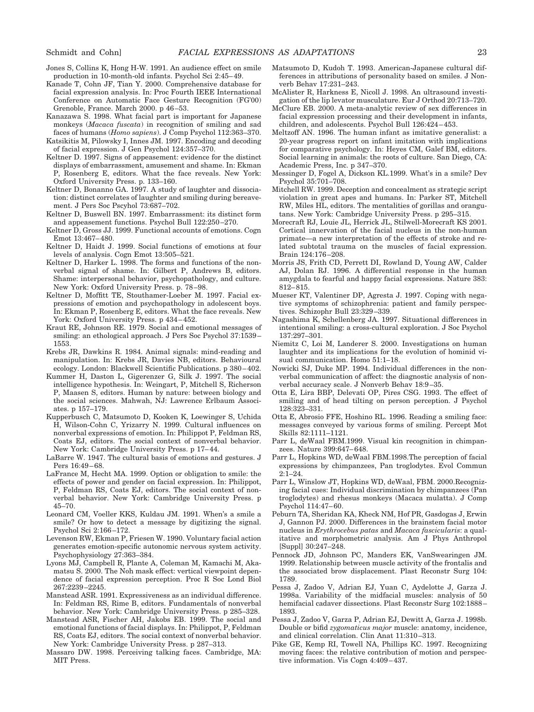- Jones S, Collins K, Hong H-W. 1991. An audience effect on smile production in 10-month-old infants. Psychol Sci 2:45–49.
- Kanade T, Cohn JF, Tian Y. 2000. Comprehensive database for facial expression analysis. In: Proc Fourth IEEE International Conference on Automatic Face Gesture Recognition (FG'00) Grenoble, France. March 2000. p 46–53.
- Kanazawa S. 1998. What facial part is important for Japanese monkeys (*Macaca fuscata*) in recognition of smiling and sad faces of humans (*Homo sapiens*). J Comp Psychol 112:363–370.
- Katsikitis M, Pilowsky I, Innes JM. 1997. Encoding and decoding of facial expression. J Gen Psychol 124:357–370.
- Keltner D. 1997. Signs of appeasement: evidence for the distinct displays of embarrassment, amusement and shame. In: Ekman P, Rosenberg E, editors. What the face reveals. New York: Oxford University Press. p. 133–160.
- Keltner D, Bonanno GA. 1997. A study of laughter and dissociation: distinct correlates of laughter and smiling during bereavement. J Pers Soc Pscyhol 73:687–702.
- Keltner D, Buswell BN. 1997. Embarrassment: its distinct form and appeasement functions. Psychol Bull 122:250–270.
- Keltner D, Gross JJ. 1999. Functional accounts of emotions. Cogn Emot 13:467–480.
- Keltner D, Haidt J. 1999. Social functions of emotions at four levels of analysis. Cogn Emot 13:505–521.
- Keltner D, Harker L. 1998. The forms and functions of the nonverbal signal of shame. In: Gilbert P, Andrews B, editors. Shame: interpersonal behavior, psychopathology, and culture. New York: Oxford University Press. p. 78–98.
- Keltner D, Moffitt TE, Stouthamer-Loeber M. 1997. Facial expressions of emotion and psychopathology in adolescent boys. In: Ekman P, Rosenberg E, editors. What the face reveals. New York: Oxford University Press. p 434–452.
- Kraut RE, Johnson RE. 1979. Social and emotional messages of smiling: an ethological approach. J Pers Soc Psychol 37:1539– 1553.
- Krebs JR, Dawkins R. 1984. Animal signals: mind-reading and manipulation. In: Krebs JR, Davies NB, editors. Behavioural ecology. London: Blackwell Scientific Publications. p 380–402.
- Kummer H, Daston L, Gigerenzer G, Silk J. 1997. The social intelligence hypothesis. In: Weingart, P, Mitchell S, Richerson P, Maasen S, editors. Human by nature: between biology and the social sciences. Mahwah, NJ: Lawrence Erlbaum Associates. p 157–179.
- Kupperbusch C, Matsumoto D, Kooken K, Loewinger S, Uchida H, Wilson-Cohn C, Yrizarry N. 1999. Cultural influences on nonverbal expressions of emotion. In: Philippot P, Feldman RS, Coats EJ, editors. The social context of nonverbal behavior. New York: Cambridge University Press. p 17–44.
- LaBarre W. 1947. The cultural basis of emotions and gestures. J Pers 16:49–68.
- LaFrance M, Hecht MA. 1999. Option or obligation to smile: the effects of power and gender on facial expression. In: Philippot, P, Feldman RS, Coats EJ, editors. The social context of nonverbal behavior. New York: Cambridge University Press. p 45–70.
- Leonard CM, Voeller KKS, Kuldau JM. 1991. When's a smile a smile? Or how to detect a message by digitizing the signal. Psychol Sci 2:166–172.
- Levenson RW, Ekman P, Friesen W. 1990. Voluntary facial action generates emotion-specific autonomic nervous system activity. Psychophysiology 27:363–384.
- Lyons MJ, Campbell R, Plante A, Coleman M, Kamachi M, Akamatsu S. 2000. The Noh mask effect: vertical viewpoint dependence of facial expression perception. Proc R Soc Lond Biol 267:2239–2245.
- Manstead ASR. 1991. Expressiveness as an individual difference. In: Feldman RS, Rime B, editors. Fundamentals of nonverbal behavior. New York: Cambridge University Press. p 285–328.
- Manstead ASR, Fischer AH, Jakobs EB. 1999. The social and emotional functions of facial displays. In: Philippot, P, Feldman RS, Coats EJ, editors. The social context of nonverbal behavior. New York: Cambridge University Press. p 287–313.
- Massaro DW. 1998. Perceiving talking faces. Cambridge, MA: MIT Press.
- Matsumoto D, Kudoh T. 1993. American-Japanese cultural differences in attributions of personality based on smiles. J Nonverb Behav 17:231–243.
- McAlister R, Harkness E, Nicoll J. 1998. An ultrasound investigation of the lip levator musculature. Eur J Orthod 20:713–720.
- McClure EB. 2000. A meta-analytic review of sex differences in facial expression processing and their development in infants, children, and adolescents. Psychol Bull 126:424–453.
- Meltzoff AN. 1996. The human infant as imitative generalist: a 20-year progress report on infant imitation with implications for comparative psychology. In: Heyes CM, Galef BM, editors. Social learning in animals: the roots of culture. San Diego, CA: Academic Press, Inc. p 347–370.
- Messinger D, Fogel A, Dickson KL.1999. What's in a smile? Dev Psychol 35:701–708.
- Mitchell RW. 1999. Deception and concealment as strategic script violation in great apes and humans. In: Parker ST, Mitchell RW, Miles HL, editors. The mentalities of gorillas and orangutans. New York: Cambridge University Press. p 295–315.
- Morecraft RJ, Louie JL, Herrick JL, Stilwell-Morecraft KS 2001. Cortical innervation of the facial nucleus in the non-human primate—a new interpretation of the effects of stroke and related subtotal trauma on the muscles of facial expression. Brain 124:176–208.
- Morris JS, Frith CD, Perrett DI, Rowland D, Young AW, Calder AJ, Dolan RJ. 1996. A differential response in the human amygdala to fearful and happy facial expressions. Nature 383: 812–815.
- Mueser KT, Valentiner DP, Agresta J. 1997. Coping with negative symptoms of schizophrenia: patient and family perspectives. Schizophr Bull 23:329–339.
- Nagashima K, Schellenberg JA. 1997. Situational differences in intentional smiling: a cross-cultural exploration. J Soc Psychol 137:297–301.
- Niemitz C, Loi M, Landerer S. 2000. Investigations on human laughter and its implications for the evolution of hominid visual communication. Homo 51:1–18.
- Nowicki SJ, Duke MP. 1994. Individual differences in the nonverbal communication of affect: the diagnostic analysis of nonverbal accuracy scale. J Nonverb Behav 18:9–35.
- Otta E, Lira BBP, Delevati OP, Pires CSG. 1993. The effect of smiling and of head tilting on person perception. J Psychol 128:323–331.
- Otta E, Abrosio FFE, Hoshino RL. 1996. Reading a smiling face: messages conveyed by various forms of smiling. Percept Mot Skills 82:1111–1121.
- Parr L, deWaal FBM.1999. Visual kin recognition in chimpanzees. Nature 399:647–648.
- Parr L, Hopkins WD, deWaal FBM.1998.The perception of facial expressions by chimpanzees, Pan troglodytes. Evol Commun 2:1–24.
- Parr L, Winslow JT, Hopkins WD, deWaal, FBM. 2000.Recognizing facial cues: Individual discrimination by chimpanzees (Pan troglodytes) and rhesus monkeys (Macaca mulatta). J Comp Psychol 114:47–60.
- Peburn TA, Sheridan KA, Kheck NM, Hof PR, Gasdogas J, Erwin J, Gannon PJ. 2000. Differences in the brainstem facial motor nucleus in *Erythrocebus patas* and *Macaca fascicularis*: a qualitative and morphometric analysis. Am J Phys Anthropol [Suppl] 30:247–248.
- Pennock JD, Johnson PC, Manders EK, VanSwearingen JM. 1999. Relationship between muscle activity of the frontalis and the associated brow displacement. Plast Reconstr Surg 104: 1789.
- Pessa J, Zadoo V, Adrian EJ, Yuan C, Aydelotte J, Garza J. 1998a. Variability of the midfacial muscles: analysis of 50 hemifacial cadaver dissections. Plast Reconstr Surg 102:1888– 1893.
- Pessa J, Zadoo V, Garza P, Adrian EJ, Dewitt A, Garza J. 1998b. Double or bifid *zygomaticus major* muscle: anatomy, incidence, and clinical correlation. Clin Anat 11:310–313.
- Pike GE, Kemp RI, Towell NA, Phillips KC. 1997. Recognizing moving faces: the relative contribution of motion and perspective information. Vis Cogn 4:409–437.